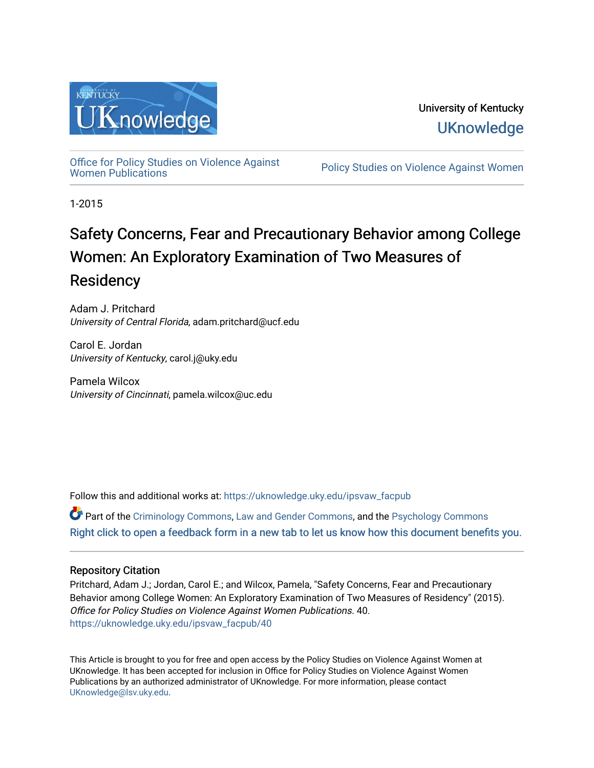

University of Kentucky **UKnowledge** 

[Office for Policy Studies on Violence Against](https://uknowledge.uky.edu/ipsvaw_facpub)

Policy Studies on Violence Against Women

1-2015

# Safety Concerns, Fear and Precautionary Behavior among College Women: An Exploratory Examination of Two Measures of **Residency**

Adam J. Pritchard University of Central Florida, adam.pritchard@ucf.edu

Carol E. Jordan University of Kentucky, carol.j@uky.edu

Pamela Wilcox University of Cincinnati, pamela.wilcox@uc.edu

Follow this and additional works at: [https://uknowledge.uky.edu/ipsvaw\\_facpub](https://uknowledge.uky.edu/ipsvaw_facpub?utm_source=uknowledge.uky.edu%2Fipsvaw_facpub%2F40&utm_medium=PDF&utm_campaign=PDFCoverPages) 

Part of the [Criminology Commons](http://network.bepress.com/hgg/discipline/417?utm_source=uknowledge.uky.edu%2Fipsvaw_facpub%2F40&utm_medium=PDF&utm_campaign=PDFCoverPages), [Law and Gender Commons,](http://network.bepress.com/hgg/discipline/1298?utm_source=uknowledge.uky.edu%2Fipsvaw_facpub%2F40&utm_medium=PDF&utm_campaign=PDFCoverPages) and the [Psychology Commons](http://network.bepress.com/hgg/discipline/404?utm_source=uknowledge.uky.edu%2Fipsvaw_facpub%2F40&utm_medium=PDF&utm_campaign=PDFCoverPages)  [Right click to open a feedback form in a new tab to let us know how this document benefits you.](https://uky.az1.qualtrics.com/jfe/form/SV_9mq8fx2GnONRfz7)

# Repository Citation

Pritchard, Adam J.; Jordan, Carol E.; and Wilcox, Pamela, "Safety Concerns, Fear and Precautionary Behavior among College Women: An Exploratory Examination of Two Measures of Residency" (2015). Office for Policy Studies on Violence Against Women Publications. 40. [https://uknowledge.uky.edu/ipsvaw\\_facpub/40](https://uknowledge.uky.edu/ipsvaw_facpub/40?utm_source=uknowledge.uky.edu%2Fipsvaw_facpub%2F40&utm_medium=PDF&utm_campaign=PDFCoverPages)

This Article is brought to you for free and open access by the Policy Studies on Violence Against Women at UKnowledge. It has been accepted for inclusion in Office for Policy Studies on Violence Against Women Publications by an authorized administrator of UKnowledge. For more information, please contact [UKnowledge@lsv.uky.edu.](mailto:UKnowledge@lsv.uky.edu)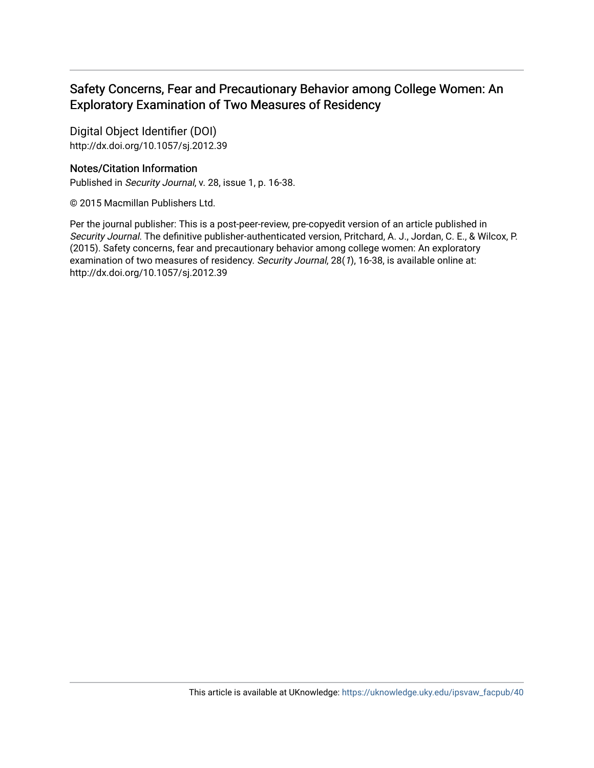# Safety Concerns, Fear and Precautionary Behavior among College Women: An Exploratory Examination of Two Measures of Residency

Digital Object Identifier (DOI) http://dx.doi.org/10.1057/sj.2012.39

# Notes/Citation Information

Published in Security Journal, v. 28, issue 1, p. 16-38.

© 2015 Macmillan Publishers Ltd.

Per the journal publisher: This is a post-peer-review, pre-copyedit version of an article published in Security Journal. The definitive publisher-authenticated version, Pritchard, A. J., Jordan, C. E., & Wilcox, P. (2015). Safety concerns, fear and precautionary behavior among college women: An exploratory examination of two measures of residency. Security Journal, 28(1), 16-38, is available online at: http://dx.doi.org/10.1057/sj.2012.39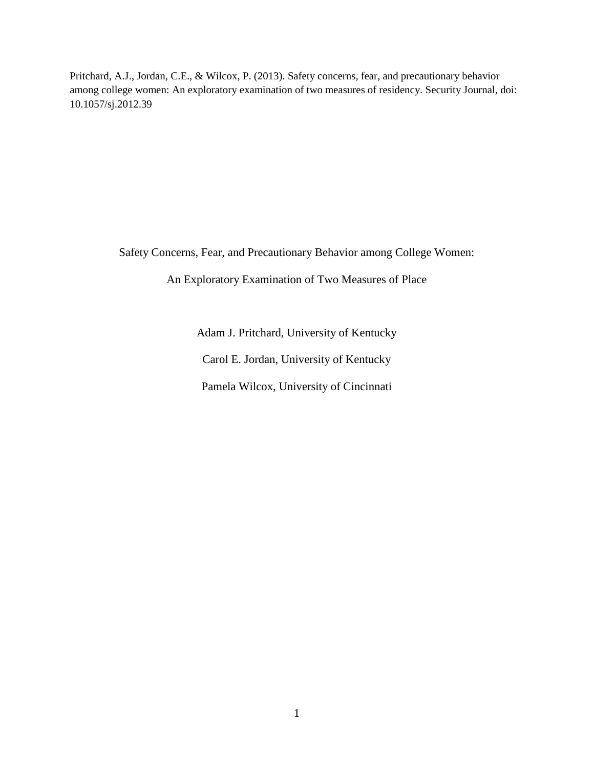Pritchard, A.J., Jordan, C.E., & Wilcox, P. (2013). Safety concerns, fear, and precautionary behavior among college women: An exploratory examination of two measures of residency. Security Journal, doi: 10.1057/sj.2012.39

Safety Concerns, Fear, and Precautionary Behavior among College Women:

An Exploratory Examination of Two Measures of Place

Adam J. Pritchard, University of Kentucky Carol E. Jordan, University of Kentucky Pamela Wilcox, University of Cincinnati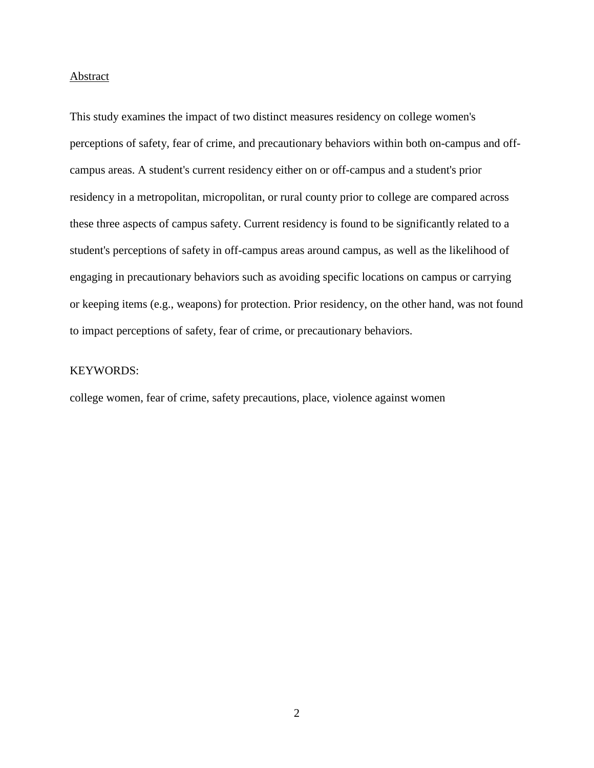#### Abstract

This study examines the impact of two distinct measures residency on college women's perceptions of safety, fear of crime, and precautionary behaviors within both on-campus and offcampus areas. A student's current residency either on or off-campus and a student's prior residency in a metropolitan, micropolitan, or rural county prior to college are compared across these three aspects of campus safety. Current residency is found to be significantly related to a student's perceptions of safety in off-campus areas around campus, as well as the likelihood of engaging in precautionary behaviors such as avoiding specific locations on campus or carrying or keeping items (e.g., weapons) for protection. Prior residency, on the other hand, was not found to impact perceptions of safety, fear of crime, or precautionary behaviors.

# KEYWORDS:

college women, fear of crime, safety precautions, place, violence against women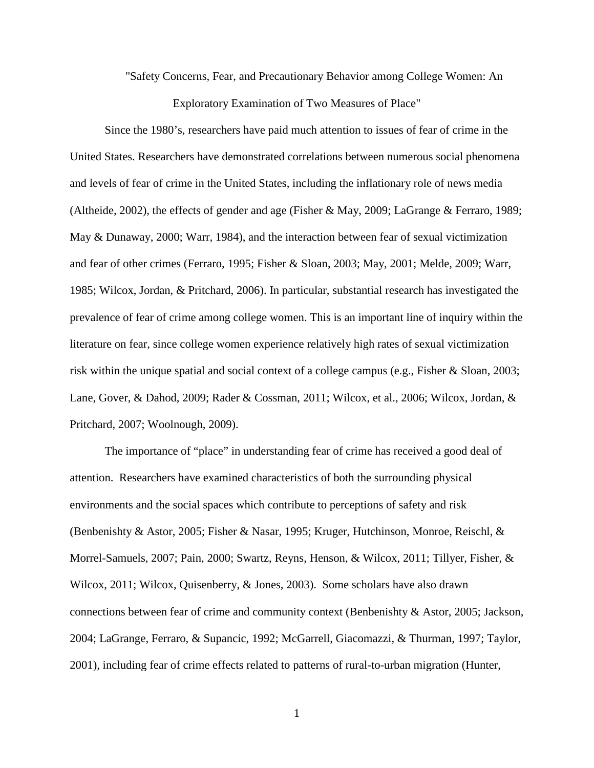"Safety Concerns, Fear, and Precautionary Behavior among College Women: An

Exploratory Examination of Two Measures of Place"

Since the 1980's, researchers have paid much attention to issues of fear of crime in the United States. Researchers have demonstrated correlations between numerous social phenomena and levels of fear of crime in the United States, including the inflationary role of news media [\(Altheide, 2002\)](#page-32-0), the effects of gender and age [\(Fisher & May, 2009;](#page-33-0) [LaGrange & Ferraro, 1989;](#page-35-0) [May & Dunaway, 2000;](#page-36-0) [Warr, 1984\)](#page-37-0), and the interaction between fear of sexual victimization and fear of other crimes [\(Ferraro, 1995;](#page-33-1) [Fisher & Sloan, 2003;](#page-33-2) [May, 2001;](#page-36-1) [Melde, 2009;](#page-36-2) [Warr,](#page-37-1)  [1985;](#page-37-1) [Wilcox, Jordan, & Pritchard,](#page-38-0) 2006). In particular, substantial research has investigated the prevalence of fear of crime among college women. This is an important line of inquiry within the literature on fear, since college women experience relatively high rates of sexual victimization risk within the unique spatial and social context of a college campus (e.g., [Fisher & Sloan, 2003;](#page-33-2) [Lane, Gover, & Dahod, 2009;](#page-35-1) [Rader & Cossman, 2011;](#page-36-3) [Wilcox, et al., 2006;](#page-38-0) [Wilcox, Jordan, &](#page-38-1)  [Pritchard, 2007;](#page-38-1) [Woolnough, 2009\)](#page-38-2).

The importance of "place" in understanding fear of crime has received a good deal of attention. Researchers have examined characteristics of both the surrounding physical environments and the social spaces which contribute to perceptions of safety and risk [\(Benbenishty & Astor, 2005;](#page-32-1) [Fisher & Nasar, 1995;](#page-33-3) [Kruger, Hutchinson, Monroe, Reischl, &](#page-34-0)  [Morrel-Samuels, 2007;](#page-34-0) [Pain, 2000;](#page-36-4) [Swartz, Reyns, Henson, & Wilcox, 2011;](#page-37-2) [Tillyer, Fisher, &](#page-37-3)  [Wilcox, 2011;](#page-37-3) [Wilcox, Quisenberry, & Jones, 2003\)](#page-38-3). Some scholars have also drawn connections between fear of crime and community context [\(Benbenishty & Astor, 2005;](#page-32-1) [Jackson,](#page-34-1)  [2004;](#page-34-1) [LaGrange, Ferraro, & Supancic, 1992;](#page-35-2) [McGarrell, Giacomazzi, & Thurman, 1997;](#page-36-5) [Taylor,](#page-37-4)  [2001\)](#page-37-4), including fear of crime effects related to patterns of rural-to-urban migration [\(Hunter,](#page-34-2)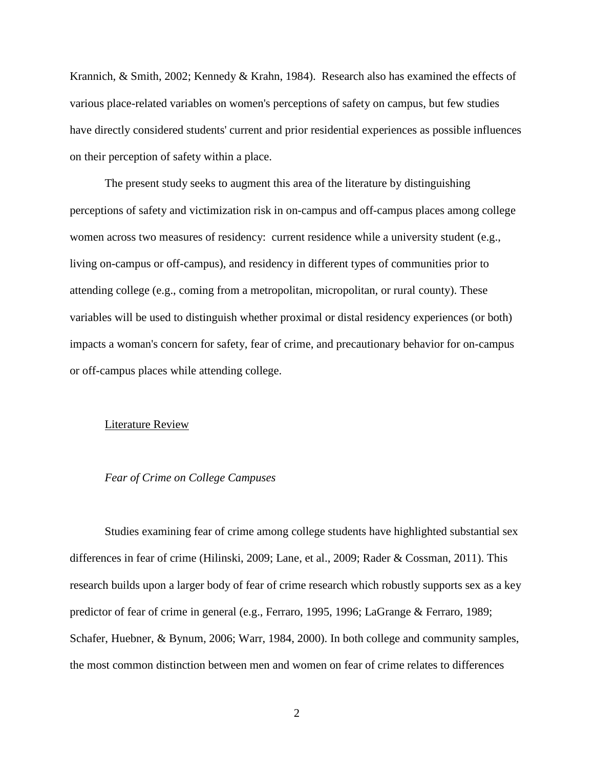[Krannich, & Smith, 2002;](#page-34-2) [Kennedy & Krahn, 1984\)](#page-34-3). Research also has examined the effects of various place-related variables on women's perceptions of safety on campus, but few studies have directly considered students' current and prior residential experiences as possible influences on their perception of safety within a place.

The present study seeks to augment this area of the literature by distinguishing perceptions of safety and victimization risk in on-campus and off-campus places among college women across two measures of residency: current residence while a university student (e.g., living on-campus or off-campus), and residency in different types of communities prior to attending college (e.g., coming from a metropolitan, micropolitan, or rural county). These variables will be used to distinguish whether proximal or distal residency experiences (or both) impacts a woman's concern for safety, fear of crime, and precautionary behavior for on-campus or off-campus places while attending college.

#### Literature Review

# *Fear of Crime on College Campuses*

Studies examining fear of crime among college students have highlighted substantial sex differences in fear of crime [\(Hilinski, 2009;](#page-34-4) [Lane, et al., 2009;](#page-35-1) [Rader & Cossman, 2011\)](#page-36-3). This research builds upon a larger body of fear of crime research which robustly supports sex as a key predictor of fear of crime in general (e.g., [Ferraro, 1995,](#page-33-1) [1996;](#page-33-4) [LaGrange & Ferraro, 1989;](#page-35-0) [Schafer, Huebner, & Bynum, 2006;](#page-37-5) [Warr, 1984,](#page-37-0) [2000\)](#page-37-6). In both college and community samples, the most common distinction between men and women on fear of crime relates to differences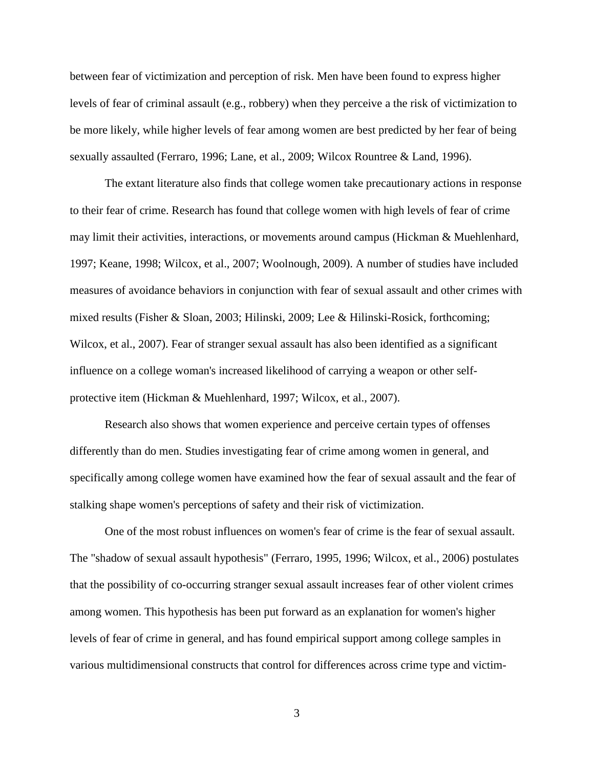between fear of victimization and perception of risk. Men have been found to express higher levels of fear of criminal assault (e.g., robbery) when they perceive a the risk of victimization to be more likely, while higher levels of fear among women are best predicted by her fear of being sexually assaulted [\(Ferraro, 1996;](#page-33-4) [Lane, et al., 2009;](#page-35-1) [Wilcox Rountree & Land, 1996\)](#page-38-4).

The extant literature also finds that college women take precautionary actions in response to their fear of crime. Research has found that college women with high levels of fear of crime may limit their activities, interactions, or movements around campus [\(Hickman & Muehlenhard,](#page-33-5)  [1997;](#page-33-5) [Keane, 1998;](#page-34-5) [Wilcox, et al., 2007;](#page-38-1) [Woolnough, 2009\)](#page-38-2). A number of studies have included measures of avoidance behaviors in conjunction with fear of sexual assault and other crimes with mixed results [\(Fisher & Sloan, 2003;](#page-33-2) [Hilinski, 2009;](#page-34-4) [Lee & Hilinski-Rosick, forthcoming;](#page-35-3) [Wilcox, et al., 2007\)](#page-38-1). Fear of stranger sexual assault has also been identified as a significant influence on a college woman's increased likelihood of carrying a weapon or other selfprotective item [\(Hickman & Muehlenhard, 1997;](#page-33-5) [Wilcox, et al., 2007\)](#page-38-1).

Research also shows that women experience and perceive certain types of offenses differently than do men. Studies investigating fear of crime among women in general, and specifically among college women have examined how the fear of sexual assault and the fear of stalking shape women's perceptions of safety and their risk of victimization.

One of the most robust influences on women's fear of crime is the fear of sexual assault. The "shadow of sexual assault hypothesis" [\(Ferraro, 1995,](#page-33-1) [1996;](#page-33-4) [Wilcox, et al., 2006\)](#page-38-0) postulates that the possibility of co-occurring stranger sexual assault increases fear of other violent crimes among women. This hypothesis has been put forward as an explanation for women's higher levels of fear of crime in general, and has found empirical support among college samples in various multidimensional constructs that control for differences across crime type and victim-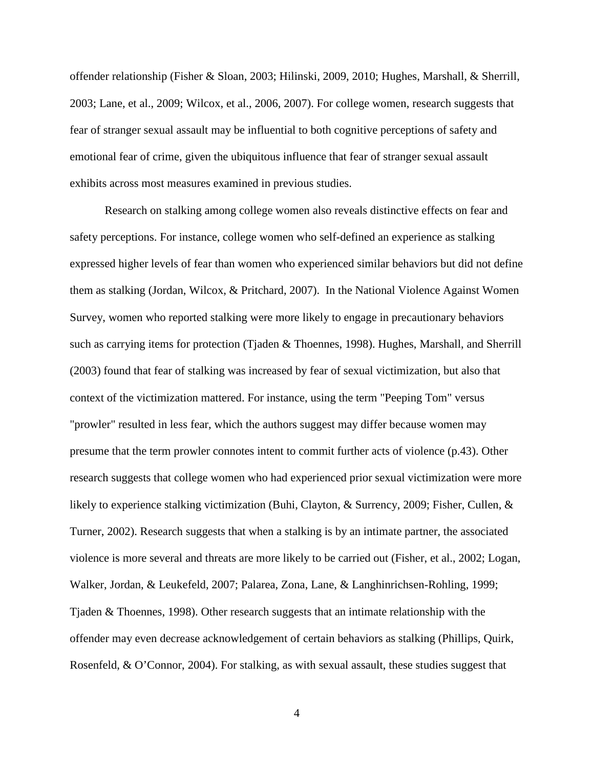offender relationship [\(Fisher & Sloan, 2003;](#page-33-2) [Hilinski, 2009,](#page-34-4) [2010;](#page-34-6) [Hughes, Marshall, & Sherrill,](#page-34-7)  [2003;](#page-34-7) [Lane, et al., 2009;](#page-35-1) [Wilcox, et al., 2006,](#page-38-0) [2007\)](#page-38-1). For college women, research suggests that fear of stranger sexual assault may be influential to both cognitive perceptions of safety and emotional fear of crime, given the ubiquitous influence that fear of stranger sexual assault exhibits across most measures examined in previous studies.

Research on stalking among college women also reveals distinctive effects on fear and safety perceptions. For instance, college women who self-defined an experience as stalking expressed higher levels of fear than women who experienced similar behaviors but did not define them as stalking [\(Jordan, Wilcox, & Pritchard, 2007\)](#page-34-8). In the National Violence Against Women Survey, women who reported stalking were more likely to engage in precautionary behaviors such as carrying items for protection [\(Tjaden & Thoennes, 1998\)](#page-37-7). Hughes, Marshall, and Sherrill [\(2003\)](#page-34-7) found that fear of stalking was increased by fear of sexual victimization, but also that context of the victimization mattered. For instance, using the term "Peeping Tom" versus "prowler" resulted in less fear, which the authors suggest may differ because women may presume that the term prowler connotes intent to commit further acts of violence (p.43). Other research suggests that college women who had experienced prior sexual victimization were more likely to experience stalking victimization [\(Buhi, Clayton, & Surrency, 2009;](#page-32-2) Fisher, Cullen, & [Turner, 2002\)](#page-33-6). Research suggests that when a stalking is by an intimate partner, the associated violence is more several and threats are more likely to be carried out [\(Fisher, et al., 2002;](#page-33-6) [Logan,](#page-35-4)  [Walker, Jordan, & Leukefeld, 2007;](#page-35-4) [Palarea, Zona, Lane, & Langhinrichsen-Rohling, 1999;](#page-36-6) [Tjaden & Thoennes, 1998\)](#page-37-7). Other research suggests that an intimate relationship with the offender may even decrease acknowledgement of certain behaviors as stalking [\(Phillips, Quirk,](#page-36-7)  [Rosenfeld, & O'Connor, 2004\)](#page-36-7). For stalking, as with sexual assault, these studies suggest that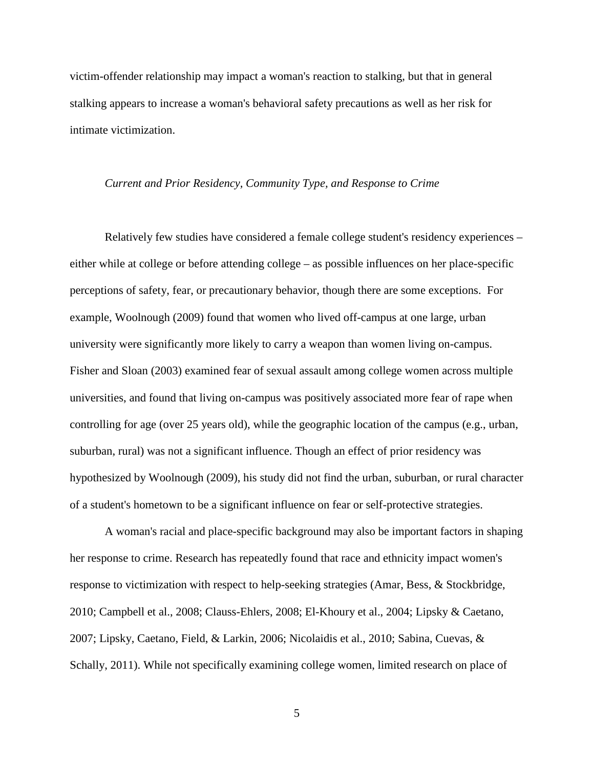victim-offender relationship may impact a woman's reaction to stalking, but that in general stalking appears to increase a woman's behavioral safety precautions as well as her risk for intimate victimization.

#### *Current and Prior Residency, Community Type, and Response to Crime*

Relatively few studies have considered a female college student's residency experiences – either while at college or before attending college – as possible influences on her place-specific perceptions of safety, fear, or precautionary behavior, though there are some exceptions. For example, Woolnough [\(2009\)](#page-38-2) found that women who lived off-campus at one large, urban university were significantly more likely to carry a weapon than women living on-campus. Fisher and Sloan [\(2003\)](#page-33-2) examined fear of sexual assault among college women across multiple universities, and found that living on-campus was positively associated more fear of rape when controlling for age (over 25 years old), while the geographic location of the campus (e.g., urban, suburban, rural) was not a significant influence. Though an effect of prior residency was hypothesized by Woolnough [\(2009\)](#page-38-2), his study did not find the urban, suburban, or rural character of a student's hometown to be a significant influence on fear or self-protective strategies.

A woman's racial and place-specific background may also be important factors in shaping her response to crime. Research has repeatedly found that race and ethnicity impact women's response to victimization with respect to help-seeking strategies [\(Amar, Bess, & Stockbridge,](#page-32-3)  [2010;](#page-32-3) [Campbell et al., 2008;](#page-32-4) [Clauss-Ehlers, 2008;](#page-32-5) [El-Khoury et al., 2004;](#page-33-7) [Lipsky & Caetano,](#page-35-5)  [2007;](#page-35-5) [Lipsky, Caetano, Field, & Larkin, 2006;](#page-35-6) [Nicolaidis et al., 2010;](#page-36-8) [Sabina, Cuevas, &](#page-37-8)  [Schally, 2011\)](#page-37-8). While not specifically examining college women, limited research on place of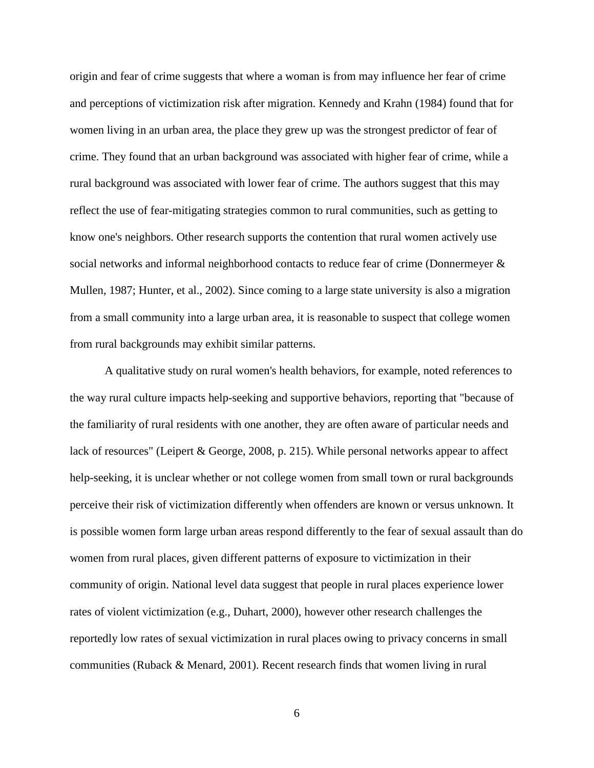origin and fear of crime suggests that where a woman is from may influence her fear of crime and perceptions of victimization risk after migration. Kennedy and Krahn [\(1984\)](#page-34-3) found that for women living in an urban area, the place they grew up was the strongest predictor of fear of crime. They found that an urban background was associated with higher fear of crime, while a rural background was associated with lower fear of crime. The authors suggest that this may reflect the use of fear-mitigating strategies common to rural communities, such as getting to know one's neighbors. Other research supports the contention that rural women actively use social networks and informal neighborhood contacts to reduce fear of crime [\(Donnermeyer &](#page-32-6)  [Mullen, 1987;](#page-32-6) [Hunter, et al., 2002\)](#page-34-2). Since coming to a large state university is also a migration from a small community into a large urban area, it is reasonable to suspect that college women from rural backgrounds may exhibit similar patterns.

A qualitative study on rural women's health behaviors, for example, noted references to the way rural culture impacts help-seeking and supportive behaviors, reporting that "because of the familiarity of rural residents with one another, they are often aware of particular needs and lack of resources" [\(Leipert & George, 2008, p. 215\)](#page-35-7). While personal networks appear to affect help-seeking, it is unclear whether or not college women from small town or rural backgrounds perceive their risk of victimization differently when offenders are known or versus unknown. It is possible women form large urban areas respond differently to the fear of sexual assault than do women from rural places, given different patterns of exposure to victimization in their community of origin. National level data suggest that people in rural places experience lower rates of violent victimization (e.g., [Duhart, 2000\)](#page-32-7), however other research challenges the reportedly low rates of sexual victimization in rural places owing to privacy concerns in small communities [\(Ruback & Menard, 2001\)](#page-36-9). Recent research finds that women living in rural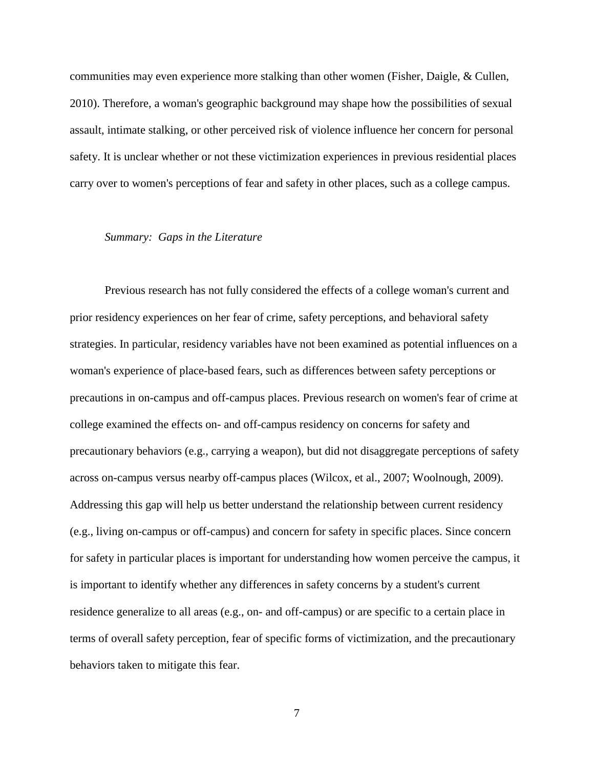communities may even experience more stalking than other women [\(Fisher, Daigle, & Cullen,](#page-33-8)  [2010\)](#page-33-8). Therefore, a woman's geographic background may shape how the possibilities of sexual assault, intimate stalking, or other perceived risk of violence influence her concern for personal safety. It is unclear whether or not these victimization experiences in previous residential places carry over to women's perceptions of fear and safety in other places, such as a college campus.

#### *Summary: Gaps in the Literature*

Previous research has not fully considered the effects of a college woman's current and prior residency experiences on her fear of crime, safety perceptions, and behavioral safety strategies. In particular, residency variables have not been examined as potential influences on a woman's experience of place-based fears, such as differences between safety perceptions or precautions in on-campus and off-campus places. Previous research on women's fear of crime at college examined the effects on- and off-campus residency on concerns for safety and precautionary behaviors (e.g., carrying a weapon), but did not disaggregate perceptions of safety across on-campus versus nearby off-campus places [\(Wilcox, et al., 2007;](#page-38-1) [Woolnough, 2009\)](#page-38-2). Addressing this gap will help us better understand the relationship between current residency (e.g., living on-campus or off-campus) and concern for safety in specific places. Since concern for safety in particular places is important for understanding how women perceive the campus, it is important to identify whether any differences in safety concerns by a student's current residence generalize to all areas (e.g., on- and off-campus) or are specific to a certain place in terms of overall safety perception, fear of specific forms of victimization, and the precautionary behaviors taken to mitigate this fear.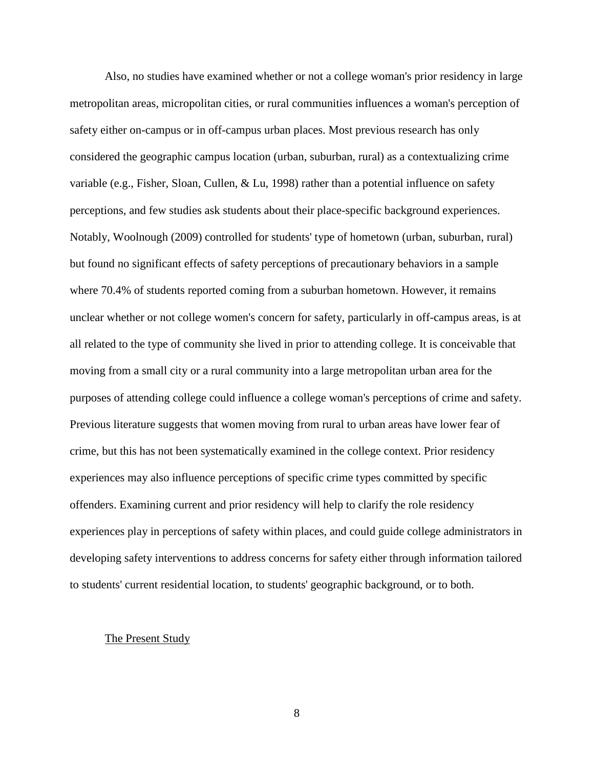Also, no studies have examined whether or not a college woman's prior residency in large metropolitan areas, micropolitan cities, or rural communities influences a woman's perception of safety either on-campus or in off-campus urban places. Most previous research has only considered the geographic campus location (urban, suburban, rural) as a contextualizing crime variable [\(e.g., Fisher, Sloan, Cullen, & Lu, 1998\)](#page-33-9) rather than a potential influence on safety perceptions, and few studies ask students about their place-specific background experiences. Notably, Woolnough [\(2009\)](#page-38-2) controlled for students' type of hometown (urban, suburban, rural) but found no significant effects of safety perceptions of precautionary behaviors in a sample where 70.4% of students reported coming from a suburban hometown. However, it remains unclear whether or not college women's concern for safety, particularly in off-campus areas, is at all related to the type of community she lived in prior to attending college. It is conceivable that moving from a small city or a rural community into a large metropolitan urban area for the purposes of attending college could influence a college woman's perceptions of crime and safety. Previous literature suggests that women moving from rural to urban areas have lower fear of crime, but this has not been systematically examined in the college context. Prior residency experiences may also influence perceptions of specific crime types committed by specific offenders. Examining current and prior residency will help to clarify the role residency experiences play in perceptions of safety within places, and could guide college administrators in developing safety interventions to address concerns for safety either through information tailored to students' current residential location, to students' geographic background, or to both.

#### The Present Study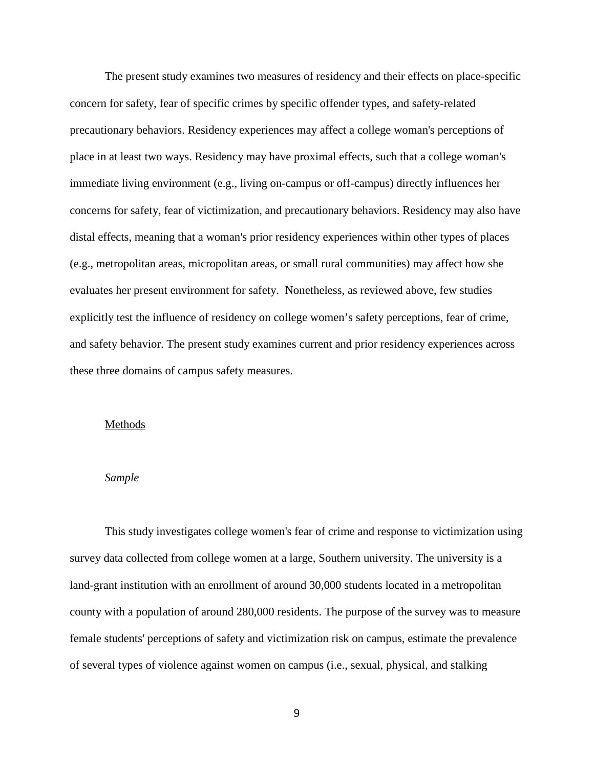The present study examines two measures of residency and their effects on place-specific concern for safety, fear of specific crimes by specific offender types, and safety-related precautionary behaviors. Residency experiences may affect a college woman's perceptions of place in at least two ways. Residency may have proximal effects, such that a college woman's immediate living environment (e.g., living on-campus or off-campus) directly influences her concerns for safety, fear of victimization, and precautionary behaviors. Residency may also have distal effects, meaning that a woman's prior residency experiences within other types of places (e.g., metropolitan areas, micropolitan areas, or small rural communities) may affect how she evaluates her present environment for safety. Nonetheless, as reviewed above, few studies explicitly test the influence of residency on college women's safety perceptions, fear of crime, and safety behavior. The present study examines current and prior residency experiences across these three domains of campus safety measures.

#### Methods

#### *Sample*

This study investigates college women's fear of crime and response to victimization using survey data collected from college women at a large, Southern university. The university is a land-grant institution with an enrollment of around 30,000 students located in a metropolitan county with a population of around 280,000 residents. The purpose of the survey was to measure female students' perceptions of safety and victimization risk on campus, estimate the prevalence of several types of violence against women on campus (i.e., sexual, physical, and stalking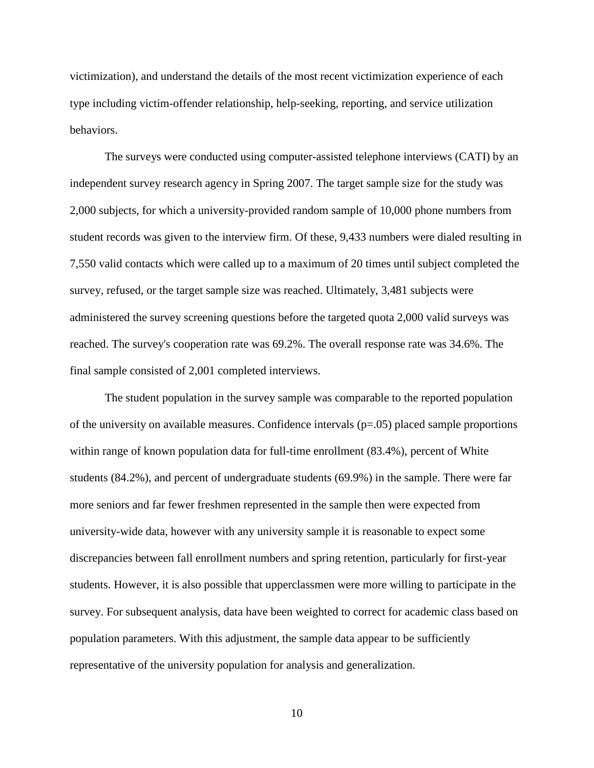victimization), and understand the details of the most recent victimization experience of each type including victim-offender relationship, help-seeking, reporting, and service utilization behaviors.

The surveys were conducted using computer-assisted telephone interviews (CATI) by an independent survey research agency in Spring 2007. The target sample size for the study was 2,000 subjects, for which a university-provided random sample of 10,000 phone numbers from student records was given to the interview firm. Of these, 9,433 numbers were dialed resulting in 7,550 valid contacts which were called up to a maximum of 20 times until subject completed the survey, refused, or the target sample size was reached. Ultimately, 3,481 subjects were administered the survey screening questions before the targeted quota 2,000 valid surveys was reached. The survey's cooperation rate was 69.2%. The overall response rate was 34.6%. The final sample consisted of 2,001 completed interviews.

The student population in the survey sample was comparable to the reported population of the university on available measures. Confidence intervals  $(p=0.05)$  placed sample proportions within range of known population data for full-time enrollment (83.4%), percent of White students (84.2%), and percent of undergraduate students (69.9%) in the sample. There were far more seniors and far fewer freshmen represented in the sample then were expected from university-wide data, however with any university sample it is reasonable to expect some discrepancies between fall enrollment numbers and spring retention, particularly for first-year students. However, it is also possible that upperclassmen were more willing to participate in the survey. For subsequent analysis, data have been weighted to correct for academic class based on population parameters. With this adjustment, the sample data appear to be sufficiently representative of the university population for analysis and generalization.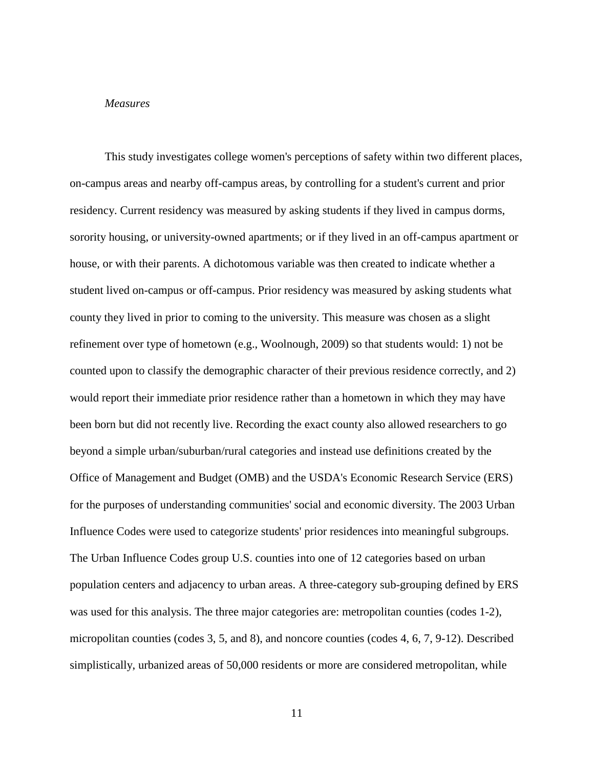#### *Measures*

This study investigates college women's perceptions of safety within two different places, on-campus areas and nearby off-campus areas, by controlling for a student's current and prior residency. Current residency was measured by asking students if they lived in campus dorms, sorority housing, or university-owned apartments; or if they lived in an off-campus apartment or house, or with their parents. A dichotomous variable was then created to indicate whether a student lived on-campus or off-campus. Prior residency was measured by asking students what county they lived in prior to coming to the university. This measure was chosen as a slight refinement over type of hometown (e.g., Woolnough, 2009) so that students would: 1) not be counted upon to classify the demographic character of their previous residence correctly, and 2) would report their immediate prior residence rather than a hometown in which they may have been born but did not recently live. Recording the exact county also allowed researchers to go beyond a simple urban/suburban/rural categories and instead use definitions created by the Office of Management and Budget (OMB) and the USDA's Economic Research Service (ERS) for the purposes of understanding communities' social and economic diversity. The 2003 Urban Influence Codes were used to categorize students' prior residences into meaningful subgroups. The Urban Influence Codes group U.S. counties into one of 12 categories based on urban population centers and adjacency to urban areas. A three-category sub-grouping defined by ERS was used for this analysis. The three major categories are: metropolitan counties (codes 1-2), micropolitan counties (codes 3, 5, and 8), and noncore counties (codes 4, 6, 7, 9-12). Described simplistically, urbanized areas of 50,000 residents or more are considered metropolitan, while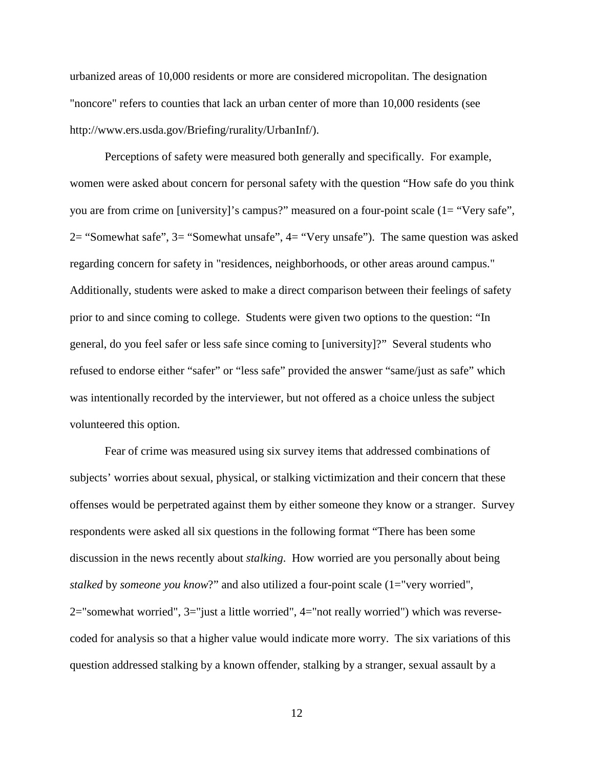urbanized areas of 10,000 residents or more are considered micropolitan. The designation "noncore" refers to counties that lack an urban center of more than 10,000 residents (see http://www.ers.usda.gov/Briefing/rurality/UrbanInf/).

Perceptions of safety were measured both generally and specifically. For example, women were asked about concern for personal safety with the question "How safe do you think you are from crime on [university]'s campus?" measured on a four-point scale (1= "Very safe", 2= "Somewhat safe", 3= "Somewhat unsafe", 4= "Very unsafe"). The same question was asked regarding concern for safety in "residences, neighborhoods, or other areas around campus." Additionally, students were asked to make a direct comparison between their feelings of safety prior to and since coming to college. Students were given two options to the question: "In general, do you feel safer or less safe since coming to [university]?" Several students who refused to endorse either "safer" or "less safe" provided the answer "same/just as safe" which was intentionally recorded by the interviewer, but not offered as a choice unless the subject volunteered this option.

Fear of crime was measured using six survey items that addressed combinations of subjects' worries about sexual, physical, or stalking victimization and their concern that these offenses would be perpetrated against them by either someone they know or a stranger. Survey respondents were asked all six questions in the following format "There has been some discussion in the news recently about *stalking*. How worried are you personally about being *stalked* by *someone you know*?" and also utilized a four-point scale (1="very worried", 2="somewhat worried", 3="just a little worried", 4="not really worried") which was reversecoded for analysis so that a higher value would indicate more worry. The six variations of this question addressed stalking by a known offender, stalking by a stranger, sexual assault by a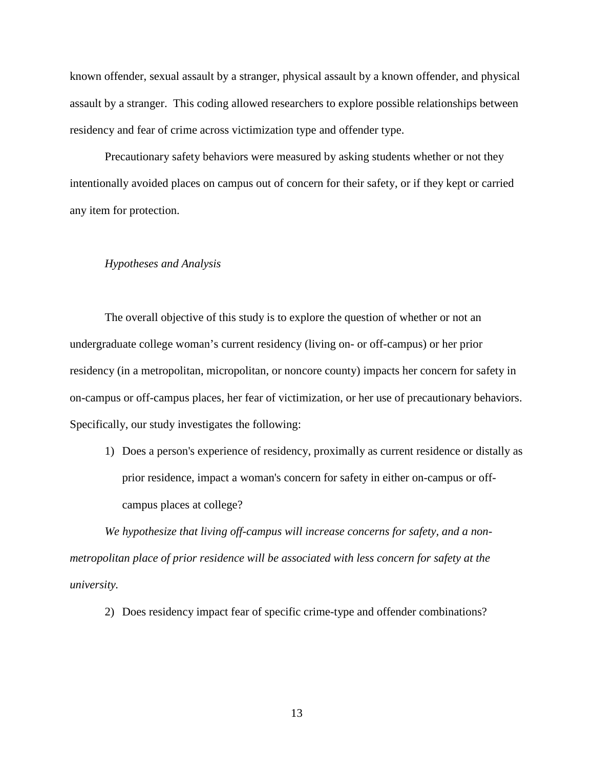known offender, sexual assault by a stranger, physical assault by a known offender, and physical assault by a stranger. This coding allowed researchers to explore possible relationships between residency and fear of crime across victimization type and offender type.

Precautionary safety behaviors were measured by asking students whether or not they intentionally avoided places on campus out of concern for their safety, or if they kept or carried any item for protection.

# *Hypotheses and Analysis*

The overall objective of this study is to explore the question of whether or not an undergraduate college woman's current residency (living on- or off-campus) or her prior residency (in a metropolitan, micropolitan, or noncore county) impacts her concern for safety in on-campus or off-campus places, her fear of victimization, or her use of precautionary behaviors. Specifically, our study investigates the following:

1) Does a person's experience of residency, proximally as current residence or distally as prior residence, impact a woman's concern for safety in either on-campus or offcampus places at college?

*We hypothesize that living off-campus will increase concerns for safety, and a nonmetropolitan place of prior residence will be associated with less concern for safety at the university.*

2) Does residency impact fear of specific crime-type and offender combinations?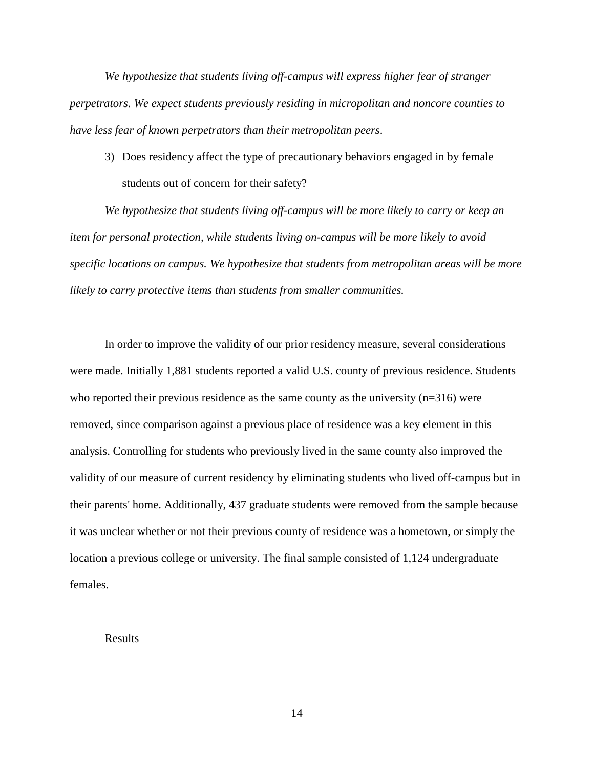*We hypothesize that students living off-campus will express higher fear of stranger perpetrators. We expect students previously residing in micropolitan and noncore counties to have less fear of known perpetrators than their metropolitan peers*.

3) Does residency affect the type of precautionary behaviors engaged in by female students out of concern for their safety?

*We hypothesize that students living off-campus will be more likely to carry or keep an item for personal protection, while students living on-campus will be more likely to avoid specific locations on campus. We hypothesize that students from metropolitan areas will be more likely to carry protective items than students from smaller communities.*

In order to improve the validity of our prior residency measure, several considerations were made. Initially 1,881 students reported a valid U.S. county of previous residence. Students who reported their previous residence as the same county as the university (n=316) were removed, since comparison against a previous place of residence was a key element in this analysis. Controlling for students who previously lived in the same county also improved the validity of our measure of current residency by eliminating students who lived off-campus but in their parents' home. Additionally, 437 graduate students were removed from the sample because it was unclear whether or not their previous county of residence was a hometown, or simply the location a previous college or university. The final sample consisted of 1,124 undergraduate females.

# Results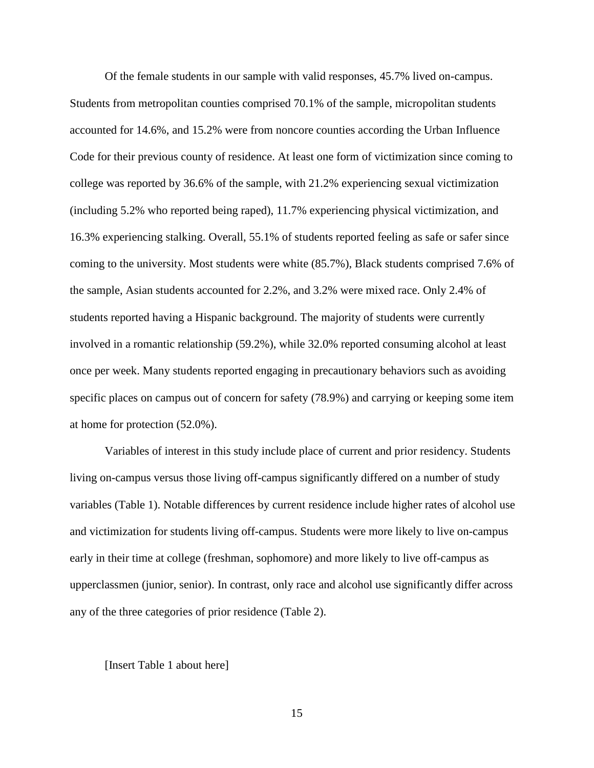Of the female students in our sample with valid responses, 45.7% lived on-campus. Students from metropolitan counties comprised 70.1% of the sample, micropolitan students accounted for 14.6%, and 15.2% were from noncore counties according the Urban Influence Code for their previous county of residence. At least one form of victimization since coming to college was reported by 36.6% of the sample, with 21.2% experiencing sexual victimization (including 5.2% who reported being raped), 11.7% experiencing physical victimization, and 16.3% experiencing stalking. Overall, 55.1% of students reported feeling as safe or safer since coming to the university. Most students were white (85.7%), Black students comprised 7.6% of the sample, Asian students accounted for 2.2%, and 3.2% were mixed race. Only 2.4% of students reported having a Hispanic background. The majority of students were currently involved in a romantic relationship (59.2%), while 32.0% reported consuming alcohol at least once per week. Many students reported engaging in precautionary behaviors such as avoiding specific places on campus out of concern for safety (78.9%) and carrying or keeping some item at home for protection (52.0%).

Variables of interest in this study include place of current and prior residency. Students living on-campus versus those living off-campus significantly differed on a number of study variables (Table 1). Notable differences by current residence include higher rates of alcohol use and victimization for students living off-campus. Students were more likely to live on-campus early in their time at college (freshman, sophomore) and more likely to live off-campus as upperclassmen (junior, senior). In contrast, only race and alcohol use significantly differ across any of the three categories of prior residence (Table 2).

#### [Insert Table 1 about here]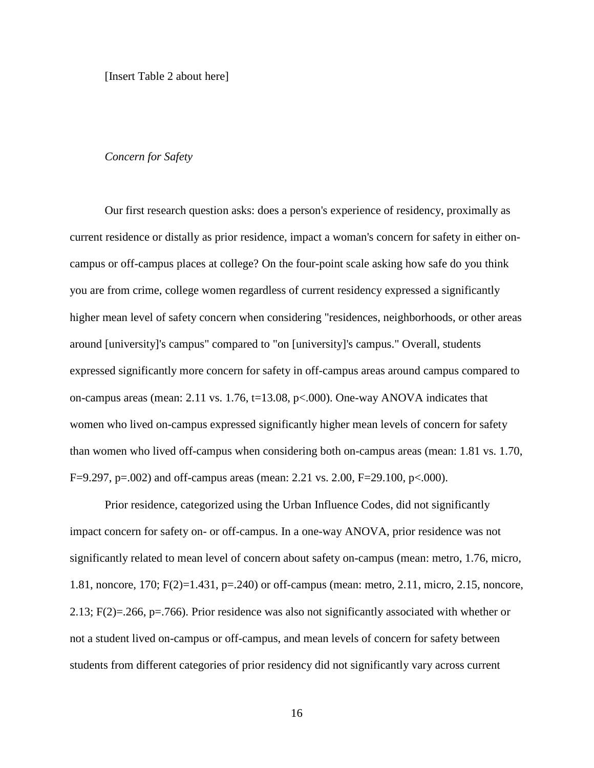[Insert Table 2 about here]

#### *Concern for Safety*

Our first research question asks: does a person's experience of residency, proximally as current residence or distally as prior residence, impact a woman's concern for safety in either oncampus or off-campus places at college? On the four-point scale asking how safe do you think you are from crime, college women regardless of current residency expressed a significantly higher mean level of safety concern when considering "residences, neighborhoods, or other areas around [university]'s campus" compared to "on [university]'s campus." Overall, students expressed significantly more concern for safety in off-campus areas around campus compared to on-campus areas (mean: 2.11 vs. 1.76, t=13.08, p<.000). One-way ANOVA indicates that women who lived on-campus expressed significantly higher mean levels of concern for safety than women who lived off-campus when considering both on-campus areas (mean: 1.81 vs. 1.70, F=9.297, p=.002) and off-campus areas (mean: 2.21 vs. 2.00, F=29.100, p<.000).

Prior residence, categorized using the Urban Influence Codes, did not significantly impact concern for safety on- or off-campus. In a one-way ANOVA, prior residence was not significantly related to mean level of concern about safety on-campus (mean: metro, 1.76, micro, 1.81, noncore, 170; F(2)=1.431, p=.240) or off-campus (mean: metro, 2.11, micro, 2.15, noncore, 2.13; F(2)=.266, p=.766). Prior residence was also not significantly associated with whether or not a student lived on-campus or off-campus, and mean levels of concern for safety between students from different categories of prior residency did not significantly vary across current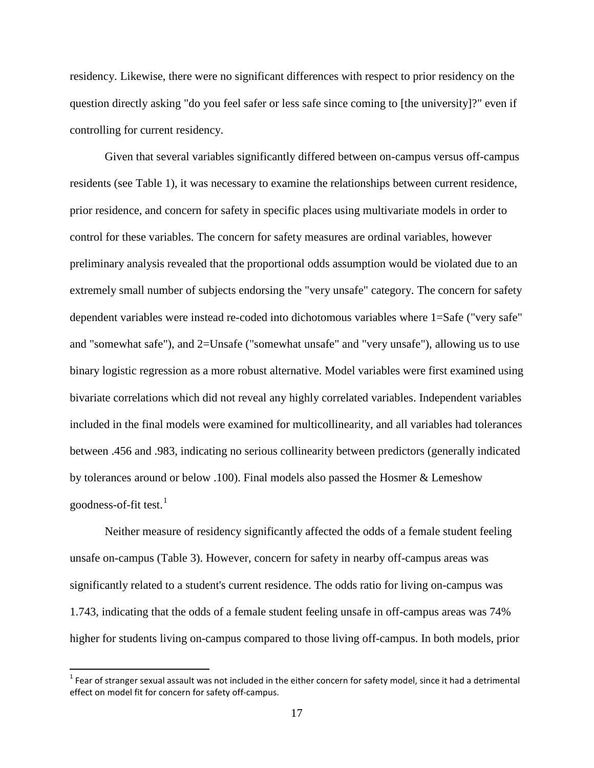residency. Likewise, there were no significant differences with respect to prior residency on the question directly asking "do you feel safer or less safe since coming to [the university]?" even if controlling for current residency.

Given that several variables significantly differed between on-campus versus off-campus residents (see Table 1), it was necessary to examine the relationships between current residence, prior residence, and concern for safety in specific places using multivariate models in order to control for these variables. The concern for safety measures are ordinal variables, however preliminary analysis revealed that the proportional odds assumption would be violated due to an extremely small number of subjects endorsing the "very unsafe" category. The concern for safety dependent variables were instead re-coded into dichotomous variables where 1=Safe ("very safe" and "somewhat safe"), and 2=Unsafe ("somewhat unsafe" and "very unsafe"), allowing us to use binary logistic regression as a more robust alternative. Model variables were first examined using bivariate correlations which did not reveal any highly correlated variables. Independent variables included in the final models were examined for multicollinearity, and all variables had tolerances between .456 and .983, indicating no serious collinearity between predictors (generally indicated by tolerances around or below .100). Final models also passed the Hosmer & Lemeshow goodness-of-fit test. $<sup>1</sup>$  $<sup>1</sup>$  $<sup>1</sup>$ </sup>

Neither measure of residency significantly affected the odds of a female student feeling unsafe on-campus (Table 3). However, concern for safety in nearby off-campus areas was significantly related to a student's current residence. The odds ratio for living on-campus was 1.743, indicating that the odds of a female student feeling unsafe in off-campus areas was 74% higher for students living on-campus compared to those living off-campus. In both models, prior

 $\overline{\phantom{a}}$ 

<span id="page-20-0"></span> $1$  Fear of stranger sexual assault was not included in the either concern for safety model, since it had a detrimental effect on model fit for concern for safety off-campus.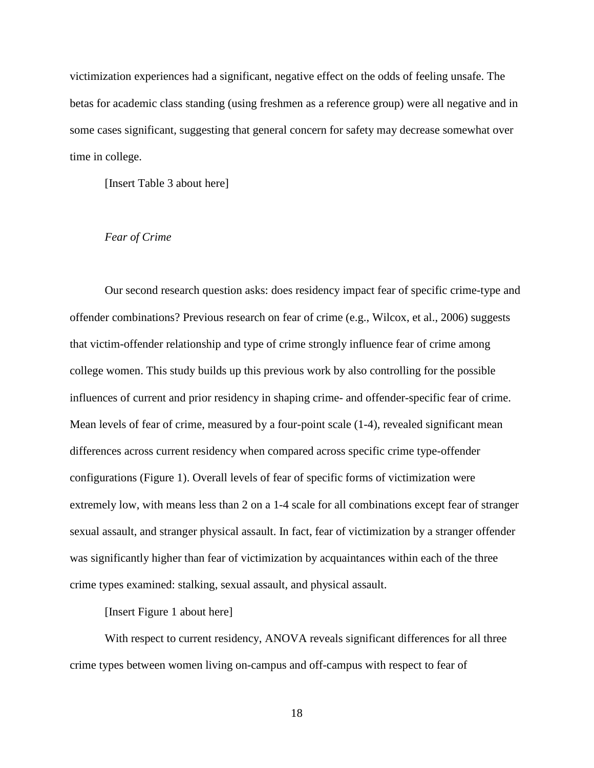victimization experiences had a significant, negative effect on the odds of feeling unsafe. The betas for academic class standing (using freshmen as a reference group) were all negative and in some cases significant, suggesting that general concern for safety may decrease somewhat over time in college.

[Insert Table 3 about here]

### *Fear of Crime*

Our second research question asks: does residency impact fear of specific crime-type and offender combinations? Previous research on fear of crime [\(e.g., Wilcox, et al., 2006\)](#page-38-0) suggests that victim-offender relationship and type of crime strongly influence fear of crime among college women. This study builds up this previous work by also controlling for the possible influences of current and prior residency in shaping crime- and offender-specific fear of crime. Mean levels of fear of crime, measured by a four-point scale (1-4), revealed significant mean differences across current residency when compared across specific crime type-offender configurations (Figure 1). Overall levels of fear of specific forms of victimization were extremely low, with means less than 2 on a 1-4 scale for all combinations except fear of stranger sexual assault, and stranger physical assault. In fact, fear of victimization by a stranger offender was significantly higher than fear of victimization by acquaintances within each of the three crime types examined: stalking, sexual assault, and physical assault.

[Insert Figure 1 about here]

With respect to current residency, ANOVA reveals significant differences for all three crime types between women living on-campus and off-campus with respect to fear of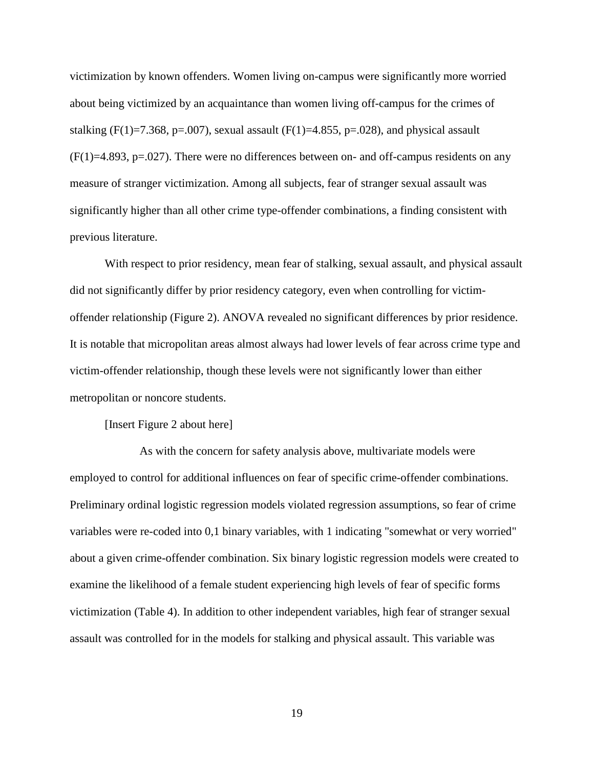victimization by known offenders. Women living on-campus were significantly more worried about being victimized by an acquaintance than women living off-campus for the crimes of stalking (F(1)=7.368, p=.007), sexual assault (F(1)=4.855, p=.028), and physical assault  $(F(1)=4.893, p=.027)$ . There were no differences between on- and off-campus residents on any measure of stranger victimization. Among all subjects, fear of stranger sexual assault was significantly higher than all other crime type-offender combinations, a finding consistent with previous literature.

With respect to prior residency, mean fear of stalking, sexual assault, and physical assault did not significantly differ by prior residency category, even when controlling for victimoffender relationship (Figure 2). ANOVA revealed no significant differences by prior residence. It is notable that micropolitan areas almost always had lower levels of fear across crime type and victim-offender relationship, though these levels were not significantly lower than either metropolitan or noncore students.

[Insert Figure 2 about here]

As with the concern for safety analysis above, multivariate models were employed to control for additional influences on fear of specific crime-offender combinations. Preliminary ordinal logistic regression models violated regression assumptions, so fear of crime variables were re-coded into 0,1 binary variables, with 1 indicating "somewhat or very worried" about a given crime-offender combination. Six binary logistic regression models were created to examine the likelihood of a female student experiencing high levels of fear of specific forms victimization (Table 4). In addition to other independent variables, high fear of stranger sexual assault was controlled for in the models for stalking and physical assault. This variable was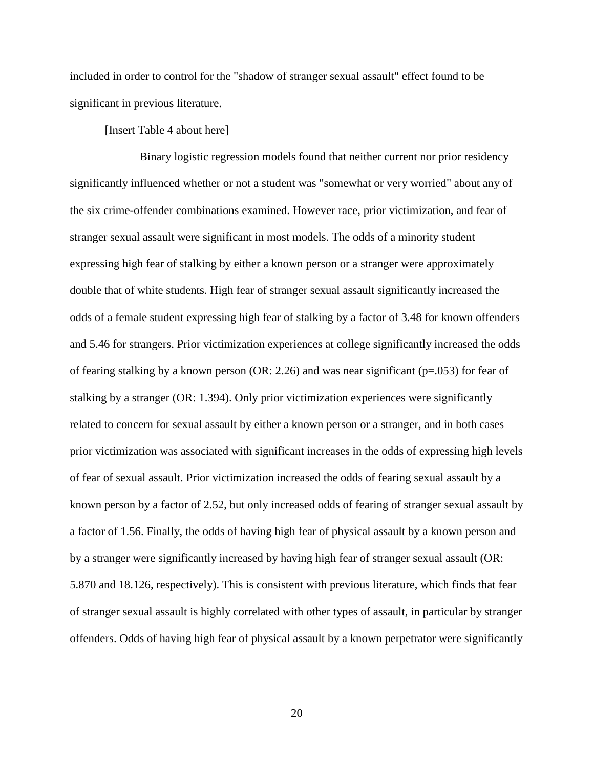included in order to control for the "shadow of stranger sexual assault" effect found to be significant in previous literature.

[Insert Table 4 about here]

Binary logistic regression models found that neither current nor prior residency significantly influenced whether or not a student was "somewhat or very worried" about any of the six crime-offender combinations examined. However race, prior victimization, and fear of stranger sexual assault were significant in most models. The odds of a minority student expressing high fear of stalking by either a known person or a stranger were approximately double that of white students. High fear of stranger sexual assault significantly increased the odds of a female student expressing high fear of stalking by a factor of 3.48 for known offenders and 5.46 for strangers. Prior victimization experiences at college significantly increased the odds of fearing stalking by a known person (OR: 2.26) and was near significant ( $p=0.053$ ) for fear of stalking by a stranger (OR: 1.394). Only prior victimization experiences were significantly related to concern for sexual assault by either a known person or a stranger, and in both cases prior victimization was associated with significant increases in the odds of expressing high levels of fear of sexual assault. Prior victimization increased the odds of fearing sexual assault by a known person by a factor of 2.52, but only increased odds of fearing of stranger sexual assault by a factor of 1.56. Finally, the odds of having high fear of physical assault by a known person and by a stranger were significantly increased by having high fear of stranger sexual assault (OR: 5.870 and 18.126, respectively). This is consistent with previous literature, which finds that fear of stranger sexual assault is highly correlated with other types of assault, in particular by stranger offenders. Odds of having high fear of physical assault by a known perpetrator were significantly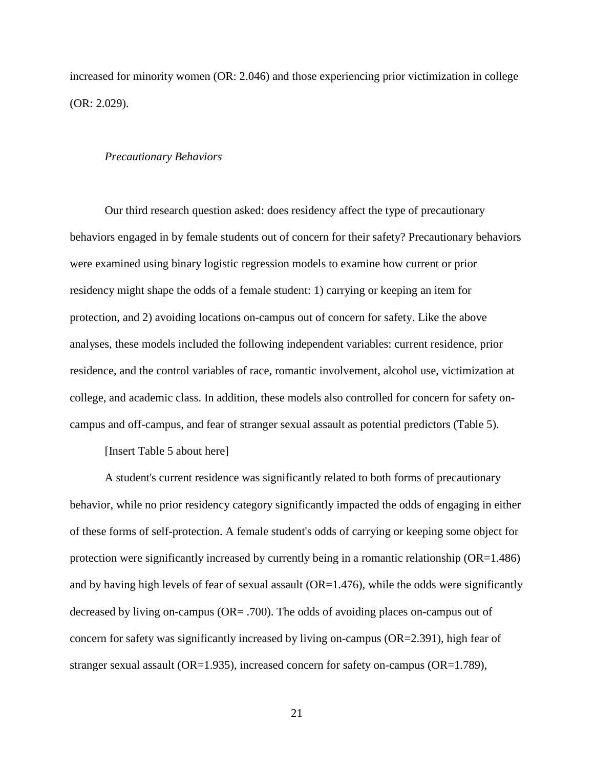increased for minority women (OR: 2.046) and those experiencing prior victimization in college (OR: 2.029).

#### *Precautionary Behaviors*

Our third research question asked: does residency affect the type of precautionary behaviors engaged in by female students out of concern for their safety? Precautionary behaviors were examined using binary logistic regression models to examine how current or prior residency might shape the odds of a female student: 1) carrying or keeping an item for protection, and 2) avoiding locations on-campus out of concern for safety. Like the above analyses, these models included the following independent variables: current residence, prior residence, and the control variables of race, romantic involvement, alcohol use, victimization at college, and academic class. In addition, these models also controlled for concern for safety oncampus and off-campus, and fear of stranger sexual assault as potential predictors (Table 5).

[Insert Table 5 about here]

A student's current residence was significantly related to both forms of precautionary behavior, while no prior residency category significantly impacted the odds of engaging in either of these forms of self-protection. A female student's odds of carrying or keeping some object for protection were significantly increased by currently being in a romantic relationship (OR=1.486) and by having high levels of fear of sexual assault  $(OR=1.476)$ , while the odds were significantly decreased by living on-campus (OR= .700). The odds of avoiding places on-campus out of concern for safety was significantly increased by living on-campus (OR=2.391), high fear of stranger sexual assault (OR=1.935), increased concern for safety on-campus (OR=1.789),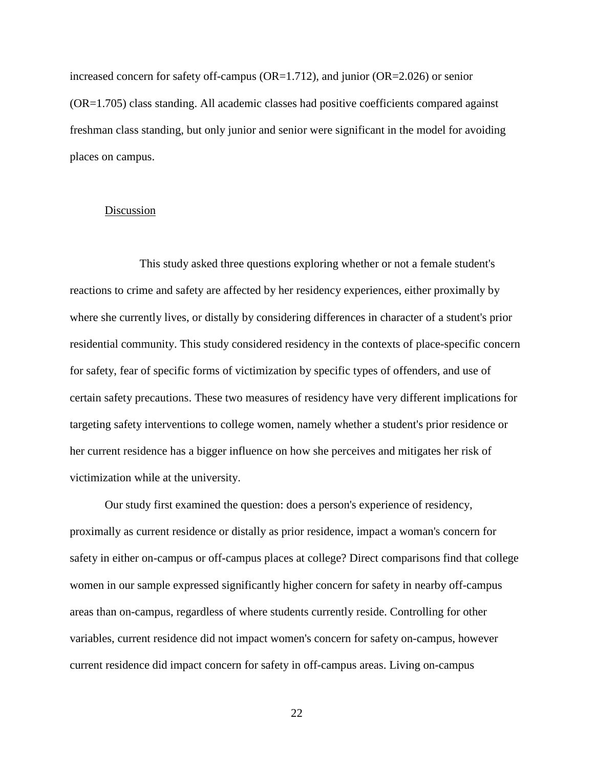increased concern for safety off-campus (OR=1.712), and junior (OR=2.026) or senior (OR=1.705) class standing. All academic classes had positive coefficients compared against freshman class standing, but only junior and senior were significant in the model for avoiding places on campus.

## Discussion

This study asked three questions exploring whether or not a female student's reactions to crime and safety are affected by her residency experiences, either proximally by where she currently lives, or distally by considering differences in character of a student's prior residential community. This study considered residency in the contexts of place-specific concern for safety, fear of specific forms of victimization by specific types of offenders, and use of certain safety precautions. These two measures of residency have very different implications for targeting safety interventions to college women, namely whether a student's prior residence or her current residence has a bigger influence on how she perceives and mitigates her risk of victimization while at the university.

Our study first examined the question: does a person's experience of residency, proximally as current residence or distally as prior residence, impact a woman's concern for safety in either on-campus or off-campus places at college? Direct comparisons find that college women in our sample expressed significantly higher concern for safety in nearby off-campus areas than on-campus, regardless of where students currently reside. Controlling for other variables, current residence did not impact women's concern for safety on-campus, however current residence did impact concern for safety in off-campus areas. Living on-campus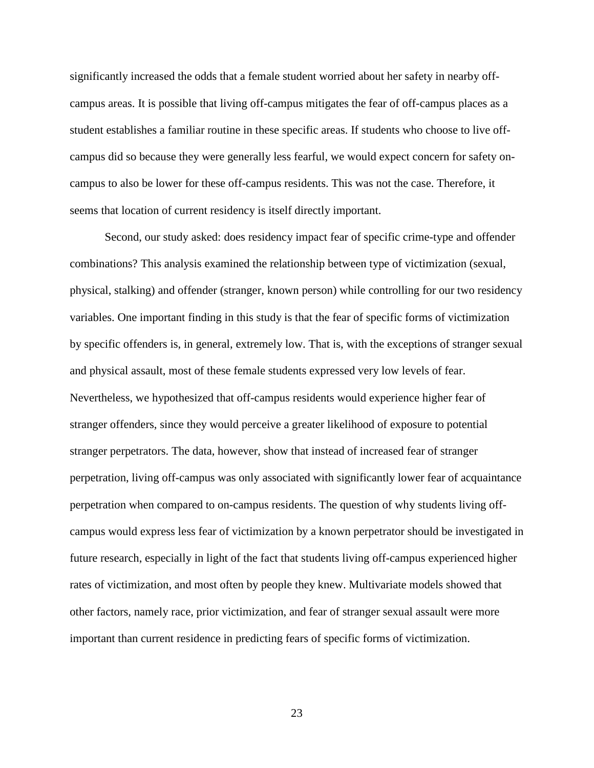significantly increased the odds that a female student worried about her safety in nearby offcampus areas. It is possible that living off-campus mitigates the fear of off-campus places as a student establishes a familiar routine in these specific areas. If students who choose to live offcampus did so because they were generally less fearful, we would expect concern for safety oncampus to also be lower for these off-campus residents. This was not the case. Therefore, it seems that location of current residency is itself directly important.

Second, our study asked: does residency impact fear of specific crime-type and offender combinations? This analysis examined the relationship between type of victimization (sexual, physical, stalking) and offender (stranger, known person) while controlling for our two residency variables. One important finding in this study is that the fear of specific forms of victimization by specific offenders is, in general, extremely low. That is, with the exceptions of stranger sexual and physical assault, most of these female students expressed very low levels of fear. Nevertheless, we hypothesized that off-campus residents would experience higher fear of stranger offenders, since they would perceive a greater likelihood of exposure to potential stranger perpetrators. The data, however, show that instead of increased fear of stranger perpetration, living off-campus was only associated with significantly lower fear of acquaintance perpetration when compared to on-campus residents. The question of why students living offcampus would express less fear of victimization by a known perpetrator should be investigated in future research, especially in light of the fact that students living off-campus experienced higher rates of victimization, and most often by people they knew. Multivariate models showed that other factors, namely race, prior victimization, and fear of stranger sexual assault were more important than current residence in predicting fears of specific forms of victimization.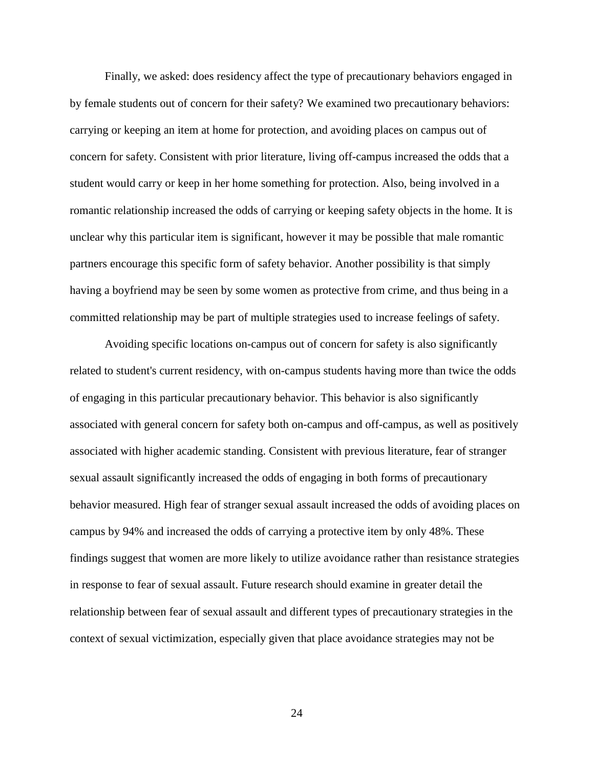Finally, we asked: does residency affect the type of precautionary behaviors engaged in by female students out of concern for their safety? We examined two precautionary behaviors: carrying or keeping an item at home for protection, and avoiding places on campus out of concern for safety. Consistent with prior literature, living off-campus increased the odds that a student would carry or keep in her home something for protection. Also, being involved in a romantic relationship increased the odds of carrying or keeping safety objects in the home. It is unclear why this particular item is significant, however it may be possible that male romantic partners encourage this specific form of safety behavior. Another possibility is that simply having a boyfriend may be seen by some women as protective from crime, and thus being in a committed relationship may be part of multiple strategies used to increase feelings of safety.

Avoiding specific locations on-campus out of concern for safety is also significantly related to student's current residency, with on-campus students having more than twice the odds of engaging in this particular precautionary behavior. This behavior is also significantly associated with general concern for safety both on-campus and off-campus, as well as positively associated with higher academic standing. Consistent with previous literature, fear of stranger sexual assault significantly increased the odds of engaging in both forms of precautionary behavior measured. High fear of stranger sexual assault increased the odds of avoiding places on campus by 94% and increased the odds of carrying a protective item by only 48%. These findings suggest that women are more likely to utilize avoidance rather than resistance strategies in response to fear of sexual assault. Future research should examine in greater detail the relationship between fear of sexual assault and different types of precautionary strategies in the context of sexual victimization, especially given that place avoidance strategies may not be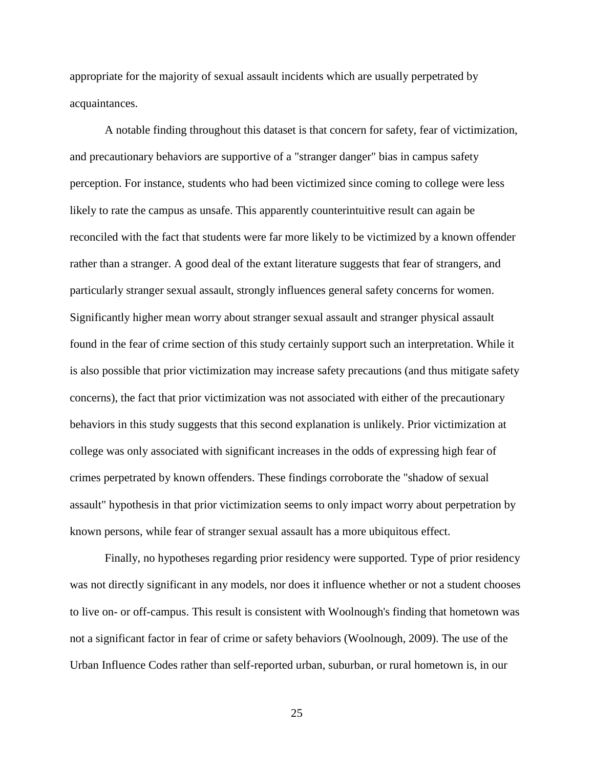appropriate for the majority of sexual assault incidents which are usually perpetrated by acquaintances.

A notable finding throughout this dataset is that concern for safety, fear of victimization, and precautionary behaviors are supportive of a "stranger danger" bias in campus safety perception. For instance, students who had been victimized since coming to college were less likely to rate the campus as unsafe. This apparently counterintuitive result can again be reconciled with the fact that students were far more likely to be victimized by a known offender rather than a stranger. A good deal of the extant literature suggests that fear of strangers, and particularly stranger sexual assault, strongly influences general safety concerns for women. Significantly higher mean worry about stranger sexual assault and stranger physical assault found in the fear of crime section of this study certainly support such an interpretation. While it is also possible that prior victimization may increase safety precautions (and thus mitigate safety concerns), the fact that prior victimization was not associated with either of the precautionary behaviors in this study suggests that this second explanation is unlikely. Prior victimization at college was only associated with significant increases in the odds of expressing high fear of crimes perpetrated by known offenders. These findings corroborate the "shadow of sexual assault" hypothesis in that prior victimization seems to only impact worry about perpetration by known persons, while fear of stranger sexual assault has a more ubiquitous effect.

Finally, no hypotheses regarding prior residency were supported. Type of prior residency was not directly significant in any models, nor does it influence whether or not a student chooses to live on- or off-campus. This result is consistent with Woolnough's finding that hometown was not a significant factor in fear of crime or safety behaviors [\(Woolnough, 2009\)](#page-38-2). The use of the Urban Influence Codes rather than self-reported urban, suburban, or rural hometown is, in our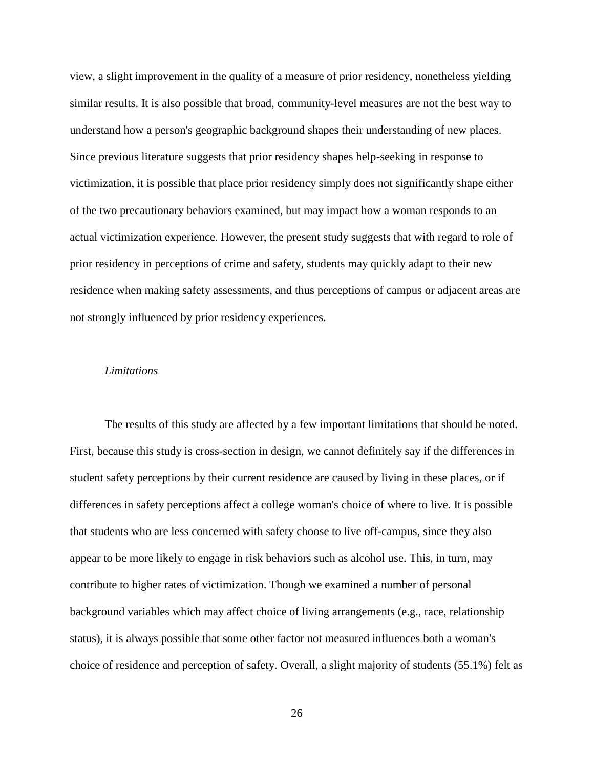view, a slight improvement in the quality of a measure of prior residency, nonetheless yielding similar results. It is also possible that broad, community-level measures are not the best way to understand how a person's geographic background shapes their understanding of new places. Since previous literature suggests that prior residency shapes help-seeking in response to victimization, it is possible that place prior residency simply does not significantly shape either of the two precautionary behaviors examined, but may impact how a woman responds to an actual victimization experience. However, the present study suggests that with regard to role of prior residency in perceptions of crime and safety, students may quickly adapt to their new residence when making safety assessments, and thus perceptions of campus or adjacent areas are not strongly influenced by prior residency experiences.

#### *Limitations*

The results of this study are affected by a few important limitations that should be noted. First, because this study is cross-section in design, we cannot definitely say if the differences in student safety perceptions by their current residence are caused by living in these places, or if differences in safety perceptions affect a college woman's choice of where to live. It is possible that students who are less concerned with safety choose to live off-campus, since they also appear to be more likely to engage in risk behaviors such as alcohol use. This, in turn, may contribute to higher rates of victimization. Though we examined a number of personal background variables which may affect choice of living arrangements (e.g., race, relationship status), it is always possible that some other factor not measured influences both a woman's choice of residence and perception of safety. Overall, a slight majority of students (55.1%) felt as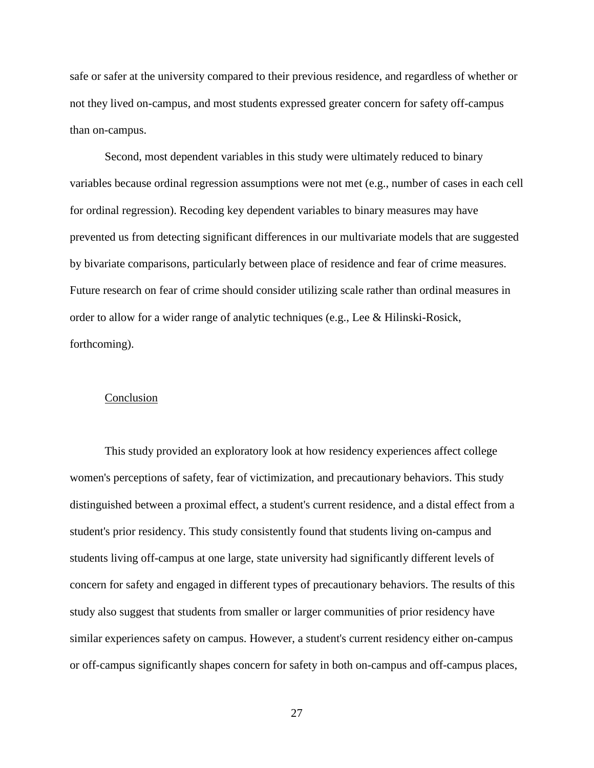safe or safer at the university compared to their previous residence, and regardless of whether or not they lived on-campus, and most students expressed greater concern for safety off-campus than on-campus.

Second, most dependent variables in this study were ultimately reduced to binary variables because ordinal regression assumptions were not met (e.g., number of cases in each cell for ordinal regression). Recoding key dependent variables to binary measures may have prevented us from detecting significant differences in our multivariate models that are suggested by bivariate comparisons, particularly between place of residence and fear of crime measures. Future research on fear of crime should consider utilizing scale rather than ordinal measures in order to allow for a wider range of analytic techniques [\(e.g., Lee & Hilinski-Rosick,](#page-35-3)  [forthcoming\)](#page-35-3).

#### Conclusion

This study provided an exploratory look at how residency experiences affect college women's perceptions of safety, fear of victimization, and precautionary behaviors. This study distinguished between a proximal effect, a student's current residence, and a distal effect from a student's prior residency. This study consistently found that students living on-campus and students living off-campus at one large, state university had significantly different levels of concern for safety and engaged in different types of precautionary behaviors. The results of this study also suggest that students from smaller or larger communities of prior residency have similar experiences safety on campus. However, a student's current residency either on-campus or off-campus significantly shapes concern for safety in both on-campus and off-campus places,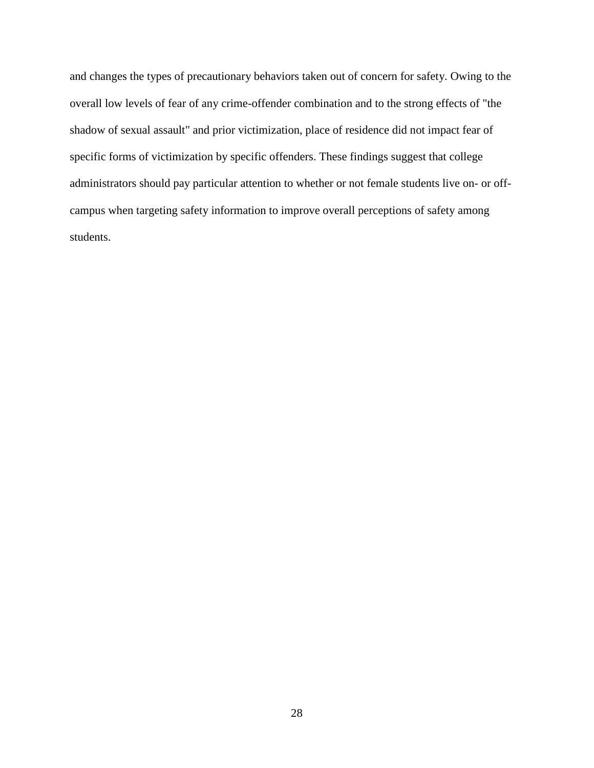and changes the types of precautionary behaviors taken out of concern for safety. Owing to the overall low levels of fear of any crime-offender combination and to the strong effects of "the shadow of sexual assault" and prior victimization, place of residence did not impact fear of specific forms of victimization by specific offenders. These findings suggest that college administrators should pay particular attention to whether or not female students live on- or offcampus when targeting safety information to improve overall perceptions of safety among students.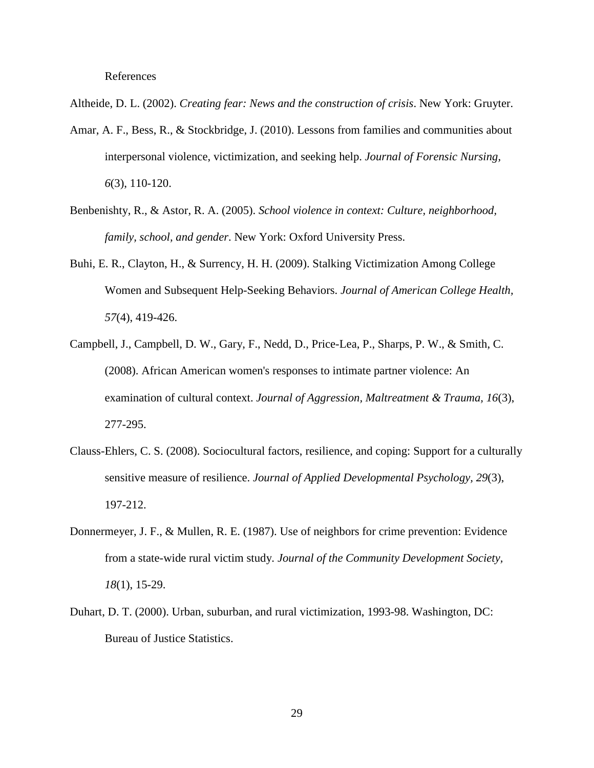References

- <span id="page-32-0"></span>Altheide, D. L. (2002). *Creating fear: News and the construction of crisis*. New York: Gruyter.
- <span id="page-32-3"></span>Amar, A. F., Bess, R., & Stockbridge, J. (2010). Lessons from families and communities about interpersonal violence, victimization, and seeking help. *Journal of Forensic Nursing, 6*(3), 110-120.
- <span id="page-32-1"></span>Benbenishty, R., & Astor, R. A. (2005). *School violence in context: Culture, neighborhood, family, school, and gender*. New York: Oxford University Press.
- <span id="page-32-2"></span>Buhi, E. R., Clayton, H., & Surrency, H. H. (2009). Stalking Victimization Among College Women and Subsequent Help-Seeking Behaviors. *Journal of American College Health, 57*(4), 419-426.
- <span id="page-32-4"></span>Campbell, J., Campbell, D. W., Gary, F., Nedd, D., Price-Lea, P., Sharps, P. W., & Smith, C. (2008). African American women's responses to intimate partner violence: An examination of cultural context. *Journal of Aggression, Maltreatment & Trauma, 16*(3), 277-295.
- <span id="page-32-5"></span>Clauss-Ehlers, C. S. (2008). Sociocultural factors, resilience, and coping: Support for a culturally sensitive measure of resilience. *Journal of Applied Developmental Psychology, 29*(3), 197-212.
- <span id="page-32-6"></span>Donnermeyer, J. F., & Mullen, R. E. (1987). Use of neighbors for crime prevention: Evidence from a state-wide rural victim study. *Journal of the Community Development Society, 18*(1), 15-29.
- <span id="page-32-7"></span>Duhart, D. T. (2000). Urban, suburban, and rural victimization, 1993-98. Washington, DC: Bureau of Justice Statistics.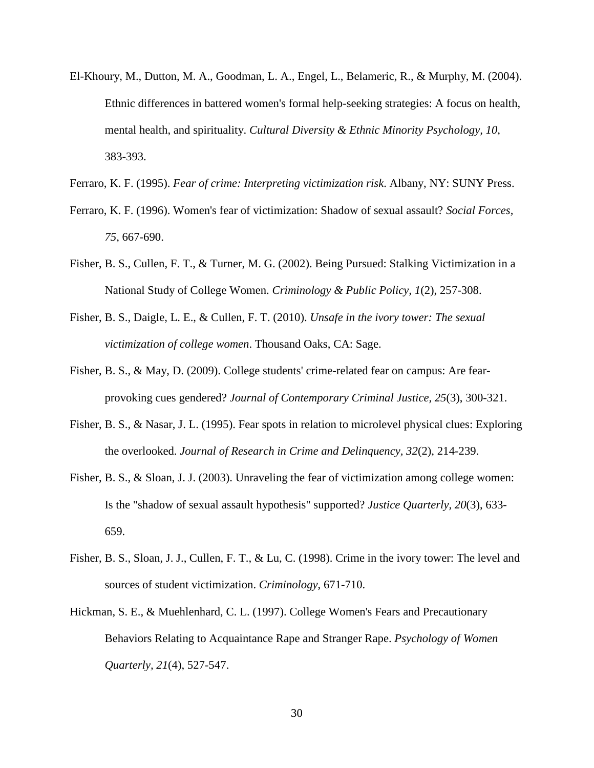- <span id="page-33-7"></span>El-Khoury, M., Dutton, M. A., Goodman, L. A., Engel, L., Belameric, R., & Murphy, M. (2004). Ethnic differences in battered women's formal help-seeking strategies: A focus on health, mental health, and spirituality. *Cultural Diversity & Ethnic Minority Psychology, 10*, 383-393.
- <span id="page-33-1"></span>Ferraro, K. F. (1995). *Fear of crime: Interpreting victimization risk*. Albany, NY: SUNY Press.
- <span id="page-33-4"></span>Ferraro, K. F. (1996). Women's fear of victimization: Shadow of sexual assault? *Social Forces, 75*, 667-690.
- <span id="page-33-6"></span>Fisher, B. S., Cullen, F. T., & Turner, M. G. (2002). Being Pursued: Stalking Victimization in a National Study of College Women. *Criminology & Public Policy, 1*(2), 257-308.
- <span id="page-33-8"></span>Fisher, B. S., Daigle, L. E., & Cullen, F. T. (2010). *Unsafe in the ivory tower: The sexual victimization of college women*. Thousand Oaks, CA: Sage.
- <span id="page-33-0"></span>Fisher, B. S., & May, D. (2009). College students' crime-related fear on campus: Are fearprovoking cues gendered? *Journal of Contemporary Criminal Justice, 25*(3), 300-321.
- <span id="page-33-3"></span>Fisher, B. S., & Nasar, J. L. (1995). Fear spots in relation to microlevel physical clues: Exploring the overlooked. *Journal of Research in Crime and Delinquency, 32*(2), 214-239.
- <span id="page-33-2"></span>Fisher, B. S., & Sloan, J. J. (2003). Unraveling the fear of victimization among college women: Is the "shadow of sexual assault hypothesis" supported? *Justice Quarterly, 20*(3), 633- 659.
- <span id="page-33-9"></span>Fisher, B. S., Sloan, J. J., Cullen, F. T., & Lu, C. (1998). Crime in the ivory tower: The level and sources of student victimization. *Criminology*, 671-710.
- <span id="page-33-5"></span>Hickman, S. E., & Muehlenhard, C. L. (1997). College Women's Fears and Precautionary Behaviors Relating to Acquaintance Rape and Stranger Rape. *Psychology of Women Quarterly, 21*(4), 527-547.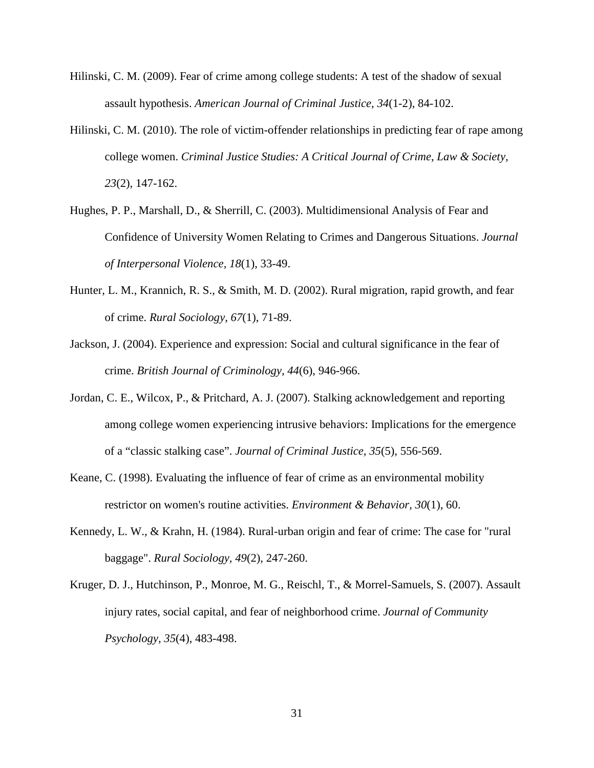- <span id="page-34-4"></span>Hilinski, C. M. (2009). Fear of crime among college students: A test of the shadow of sexual assault hypothesis. *American Journal of Criminal Justice, 34*(1-2), 84-102.
- <span id="page-34-6"></span>Hilinski, C. M. (2010). The role of victim-offender relationships in predicting fear of rape among college women. *Criminal Justice Studies: A Critical Journal of Crime, Law & Society, 23*(2), 147-162.
- <span id="page-34-7"></span>Hughes, P. P., Marshall, D., & Sherrill, C. (2003). Multidimensional Analysis of Fear and Confidence of University Women Relating to Crimes and Dangerous Situations. *Journal of Interpersonal Violence, 18*(1), 33-49.
- <span id="page-34-2"></span>Hunter, L. M., Krannich, R. S., & Smith, M. D. (2002). Rural migration, rapid growth, and fear of crime. *Rural Sociology, 67*(1), 71-89.
- <span id="page-34-1"></span>Jackson, J. (2004). Experience and expression: Social and cultural significance in the fear of crime. *British Journal of Criminology, 44*(6), 946-966.
- <span id="page-34-8"></span>Jordan, C. E., Wilcox, P., & Pritchard, A. J. (2007). Stalking acknowledgement and reporting among college women experiencing intrusive behaviors: Implications for the emergence of a "classic stalking case". *Journal of Criminal Justice, 35*(5), 556-569.
- <span id="page-34-5"></span>Keane, C. (1998). Evaluating the influence of fear of crime as an environmental mobility restrictor on women's routine activities. *Environment & Behavior, 30*(1), 60.
- <span id="page-34-3"></span>Kennedy, L. W., & Krahn, H. (1984). Rural-urban origin and fear of crime: The case for "rural baggage". *Rural Sociology, 49*(2), 247-260.
- <span id="page-34-0"></span>Kruger, D. J., Hutchinson, P., Monroe, M. G., Reischl, T., & Morrel-Samuels, S. (2007). Assault injury rates, social capital, and fear of neighborhood crime. *Journal of Community Psychology, 35*(4), 483-498.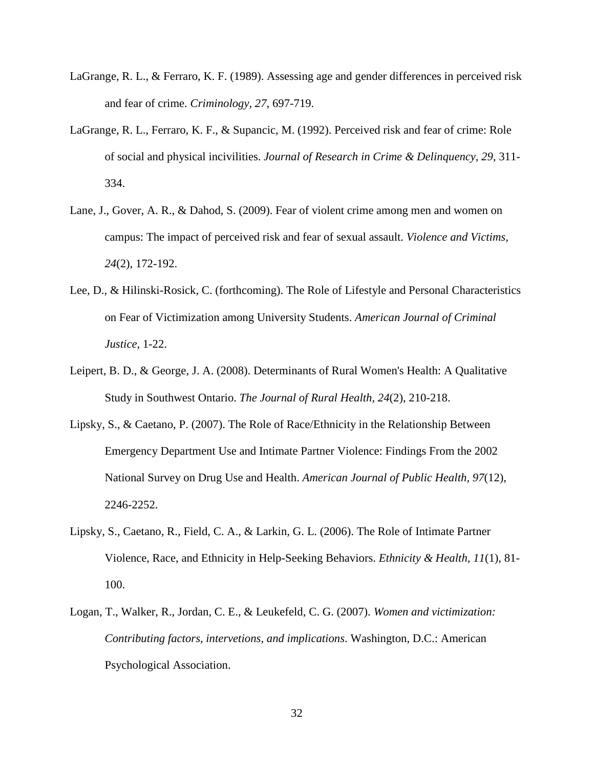- <span id="page-35-0"></span>LaGrange, R. L., & Ferraro, K. F. (1989). Assessing age and gender differences in perceived risk and fear of crime. *Criminology, 27*, 697-719.
- <span id="page-35-2"></span>LaGrange, R. L., Ferraro, K. F., & Supancic, M. (1992). Perceived risk and fear of crime: Role of social and physical incivilities. *Journal of Research in Crime & Delinquency, 29*, 311- 334.
- <span id="page-35-1"></span>Lane, J., Gover, A. R., & Dahod, S. (2009). Fear of violent crime among men and women on campus: The impact of perceived risk and fear of sexual assault. *Violence and Victims, 24*(2), 172-192.
- <span id="page-35-3"></span>Lee, D., & Hilinski-Rosick, C. (forthcoming). The Role of Lifestyle and Personal Characteristics on Fear of Victimization among University Students. *American Journal of Criminal Justice*, 1-22.
- <span id="page-35-7"></span>Leipert, B. D., & George, J. A. (2008). Determinants of Rural Women's Health: A Qualitative Study in Southwest Ontario. *The Journal of Rural Health, 24*(2), 210-218.
- <span id="page-35-5"></span>Lipsky, S., & Caetano, P. (2007). The Role of Race/Ethnicity in the Relationship Between Emergency Department Use and Intimate Partner Violence: Findings From the 2002 National Survey on Drug Use and Health. *American Journal of Public Health, 97*(12), 2246-2252.
- <span id="page-35-6"></span>Lipsky, S., Caetano, R., Field, C. A., & Larkin, G. L. (2006). The Role of Intimate Partner Violence, Race, and Ethnicity in Help-Seeking Behaviors. *Ethnicity & Health, 11*(1), 81- 100.
- <span id="page-35-4"></span>Logan, T., Walker, R., Jordan, C. E., & Leukefeld, C. G. (2007). *Women and victimization: Contributing factors, intervetions, and implications*. Washington, D.C.: American Psychological Association.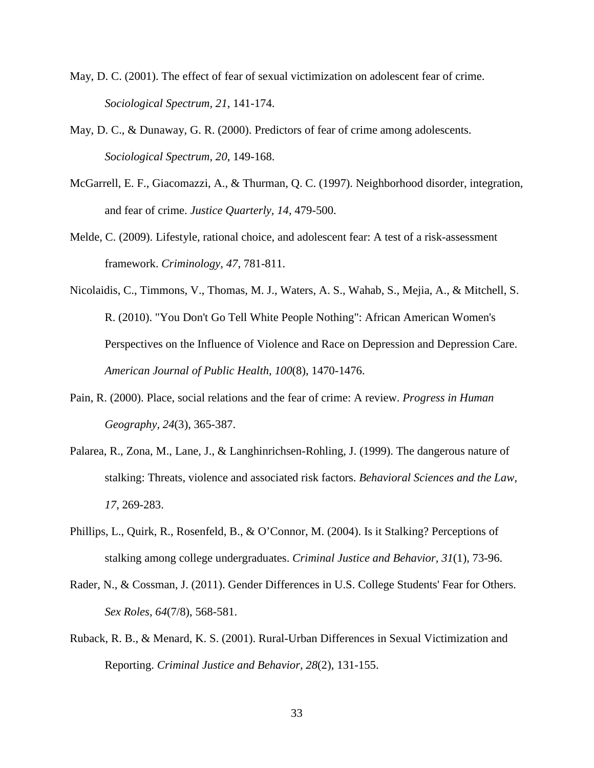- <span id="page-36-1"></span>May, D. C. (2001). The effect of fear of sexual victimization on adolescent fear of crime. *Sociological Spectrum, 21*, 141-174.
- <span id="page-36-0"></span>May, D. C., & Dunaway, G. R. (2000). Predictors of fear of crime among adolescents. *Sociological Spectrum, 20*, 149-168.
- <span id="page-36-5"></span>McGarrell, E. F., Giacomazzi, A., & Thurman, Q. C. (1997). Neighborhood disorder, integration, and fear of crime. *Justice Quarterly, 14*, 479-500.
- <span id="page-36-2"></span>Melde, C. (2009). Lifestyle, rational choice, and adolescent fear: A test of a risk-assessment framework. *Criminology, 47*, 781-811.
- <span id="page-36-8"></span>Nicolaidis, C., Timmons, V., Thomas, M. J., Waters, A. S., Wahab, S., Mejia, A., & Mitchell, S. R. (2010). "You Don't Go Tell White People Nothing": African American Women's Perspectives on the Influence of Violence and Race on Depression and Depression Care. *American Journal of Public Health, 100*(8), 1470-1476.
- <span id="page-36-4"></span>Pain, R. (2000). Place, social relations and the fear of crime: A review. *Progress in Human Geography, 24*(3), 365-387.
- <span id="page-36-6"></span>Palarea, R., Zona, M., Lane, J., & Langhinrichsen-Rohling, J. (1999). The dangerous nature of stalking: Threats, violence and associated risk factors. *Behavioral Sciences and the Law, 17*, 269-283.
- <span id="page-36-7"></span>Phillips, L., Quirk, R., Rosenfeld, B., & O'Connor, M. (2004). Is it Stalking? Perceptions of stalking among college undergraduates. *Criminal Justice and Behavior, 31*(1), 73-96.
- <span id="page-36-3"></span>Rader, N., & Cossman, J. (2011). Gender Differences in U.S. College Students' Fear for Others. *Sex Roles, 64*(7/8), 568-581.
- <span id="page-36-9"></span>Ruback, R. B., & Menard, K. S. (2001). Rural-Urban Differences in Sexual Victimization and Reporting. *Criminal Justice and Behavior, 28*(2), 131-155.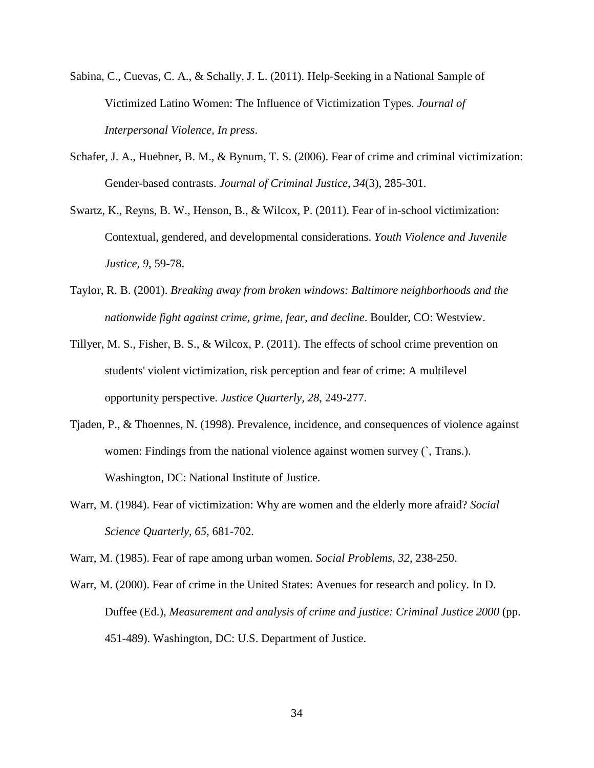- <span id="page-37-8"></span>Sabina, C., Cuevas, C. A., & Schally, J. L. (2011). Help-Seeking in a National Sample of Victimized Latino Women: The Influence of Victimization Types. *Journal of Interpersonal Violence, In press*.
- <span id="page-37-5"></span>Schafer, J. A., Huebner, B. M., & Bynum, T. S. (2006). Fear of crime and criminal victimization: Gender-based contrasts. *Journal of Criminal Justice, 34*(3), 285-301.
- <span id="page-37-2"></span>Swartz, K., Reyns, B. W., Henson, B., & Wilcox, P. (2011). Fear of in-school victimization: Contextual, gendered, and developmental considerations. *Youth Violence and Juvenile Justice, 9*, 59-78.
- <span id="page-37-4"></span>Taylor, R. B. (2001). *Breaking away from broken windows: Baltimore neighborhoods and the nationwide fight against crime, grime, fear, and decline*. Boulder, CO: Westview.
- <span id="page-37-3"></span>Tillyer, M. S., Fisher, B. S., & Wilcox, P. (2011). The effects of school crime prevention on students' violent victimization, risk perception and fear of crime: A multilevel opportunity perspective. *Justice Quarterly, 28*, 249-277.
- <span id="page-37-7"></span>Tjaden, P., & Thoennes, N. (1998). Prevalence, incidence, and consequences of violence against women: Findings from the national violence against women survey  $\hat{C}$ , Trans.). Washington, DC: National Institute of Justice.
- <span id="page-37-0"></span>Warr, M. (1984). Fear of victimization: Why are women and the elderly more afraid? *Social Science Quarterly, 65*, 681-702.

<span id="page-37-1"></span>Warr, M. (1985). Fear of rape among urban women. *Social Problems, 32*, 238-250.

<span id="page-37-6"></span>Warr, M. (2000). Fear of crime in the United States: Avenues for research and policy. In D. Duffee (Ed.), *Measurement and analysis of crime and justice: Criminal Justice 2000* (pp. 451-489). Washington, DC: U.S. Department of Justice.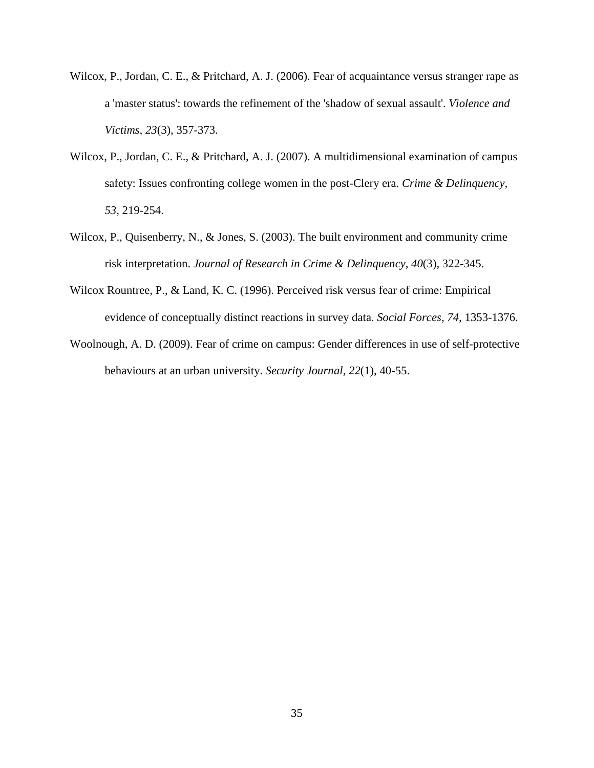- <span id="page-38-0"></span>Wilcox, P., Jordan, C. E., & Pritchard, A. J. (2006). Fear of acquaintance versus stranger rape as a 'master status': towards the refinement of the 'shadow of sexual assault'. *Violence and Victims, 23*(3), 357-373.
- <span id="page-38-1"></span>Wilcox, P., Jordan, C. E., & Pritchard, A. J. (2007). A multidimensional examination of campus safety: Issues confronting college women in the post-Clery era. *Crime & Delinquency, 53*, 219-254.
- <span id="page-38-3"></span>Wilcox, P., Quisenberry, N., & Jones, S. (2003). The built environment and community crime risk interpretation. *Journal of Research in Crime & Delinquency, 40*(3), 322-345.
- <span id="page-38-4"></span>Wilcox Rountree, P., & Land, K. C. (1996). Perceived risk versus fear of crime: Empirical evidence of conceptually distinct reactions in survey data. *Social Forces, 74*, 1353-1376.
- <span id="page-38-2"></span>Woolnough, A. D. (2009). Fear of crime on campus: Gender differences in use of self-protective behaviours at an urban university. *Security Journal, 22*(1), 40-55.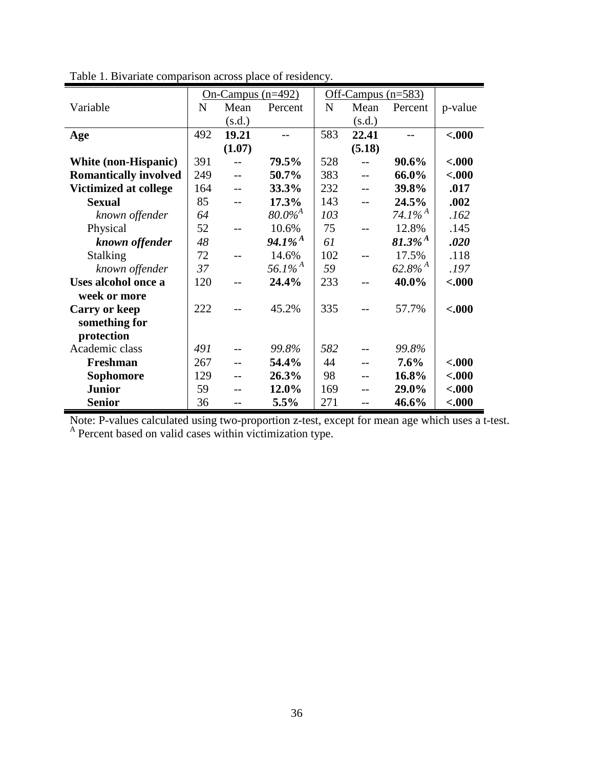|                              | On-Campus $(n=492)$ |        |                       | Off-Campus $(n=583)$ |        |                       |         |
|------------------------------|---------------------|--------|-----------------------|----------------------|--------|-----------------------|---------|
| Variable                     | $\mathbf N$         | Mean   | Percent               | $\mathbf N$          | Mean   | Percent               | p-value |
|                              |                     | (s.d.) |                       |                      | (s.d.) |                       |         |
| Age                          | 492                 | 19.21  |                       | 583                  | 22.41  |                       | $-.000$ |
|                              |                     | (1.07) |                       |                      | (5.18) |                       |         |
| White (non-Hispanic)         | 391                 |        | 79.5%                 | 528                  |        | 90.6%                 | $-.000$ |
| <b>Romantically involved</b> | 249                 | $-$    | 50.7%                 | 383                  |        | 66.0%                 | $-.000$ |
| <b>Victimized at college</b> | 164                 |        | 33.3%                 | 232                  |        | 39.8%                 | .017    |
| <b>Sexual</b>                | 85                  |        | 17.3%                 | 143                  |        | 24.5%                 | .002    |
| known offender               | 64                  |        | $80.0\%^{A}$          | 103                  |        | 74.1% <sup>A</sup>    | .162    |
| Physical                     | 52                  |        | 10.6%                 | 75                   |        | 12.8%                 | .145    |
| known offender               | 48                  |        | $94.1\%$ <sup>A</sup> | 61                   |        | $81.3\%$ <sup>A</sup> | .020    |
| <b>Stalking</b>              | 72                  |        | 14.6%                 | 102                  |        | 17.5%                 | .118    |
| known offender               | 37                  |        | $56.1\%$ <sup>A</sup> | 59                   |        | $62.8\%$ <sup>A</sup> | .197    |
| Uses alcohol once a          | 120                 |        | 24.4%                 | 233                  |        | 40.0%                 | $-.000$ |
| week or more                 |                     |        |                       |                      |        |                       |         |
| <b>Carry or keep</b>         | 222                 |        | 45.2%                 | 335                  |        | 57.7%                 | $-.000$ |
| something for                |                     |        |                       |                      |        |                       |         |
| protection                   |                     |        |                       |                      |        |                       |         |
| Academic class               | 491                 |        | 99.8%                 | 582                  |        | 99.8%                 |         |
| Freshman                     | 267                 |        | 54.4%                 | 44                   |        | 7.6%                  | $-.000$ |
| Sophomore                    | 129                 |        | 26.3%                 | 98                   |        | 16.8%                 | $-.000$ |
| <b>Junior</b>                | 59                  |        | 12.0%                 | 169                  |        | 29.0%                 | $-.000$ |
| <b>Senior</b>                | 36                  |        | 5.5%                  | 271                  | $-$    | 46.6%                 | $-.000$ |

Table 1. Bivariate comparison across place of residency.

Note: P-values calculated using two-proportion z-test, except for mean age which uses a t-test. <sup>A</sup> Percent based on valid cases within victimization type.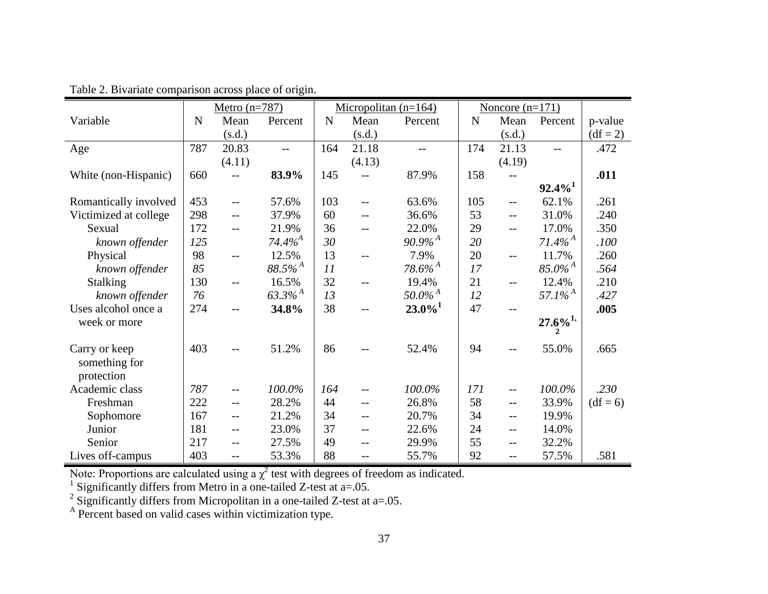|                                | Metro $(n=787)$ |                   |                       |             |        | Micropolitan $(n=164)$ | Noncore $(n=171)$ |        |                                    |            |
|--------------------------------|-----------------|-------------------|-----------------------|-------------|--------|------------------------|-------------------|--------|------------------------------------|------------|
| Variable                       | N               | Mean              | Percent               | $\mathbf N$ | Mean   | Percent                | $\mathbf N$       | Mean   | Percent                            | p-value    |
|                                |                 | (s.d.)            |                       |             | (s.d.) |                        |                   | (s.d.) |                                    | $(df = 2)$ |
| Age                            | 787             | 20.83             | $-$                   | 164         | 21.18  |                        | 174               | 21.13  |                                    | .472       |
|                                |                 | (4.11)            |                       |             | (4.13) |                        |                   | (4.19) |                                    |            |
| White (non-Hispanic)           | 660             | $-$               | 83.9%                 | 145         |        | 87.9%                  | 158               |        |                                    | .011       |
|                                |                 |                   |                       |             |        |                        |                   |        | $92.4\%$ <sup>1</sup>              |            |
| Romantically involved          | 453             | $-$               | 57.6%                 | 103         | $-$    | 63.6%                  | 105               | $-$    | 62.1%                              | .261       |
| Victimized at college          | 298             | $-$               | 37.9%                 | 60          | $-$    | 36.6%                  | 53                | $-$    | 31.0%                              | .240       |
| Sexual                         | 172             | $-$               | 21.9%                 | 36          |        | 22.0%                  | 29                | $-$    | 17.0%                              | .350       |
| known offender                 | 125             |                   | 74.4% <sup>A</sup>    | 30          |        | $90.9\%$ <sup>A</sup>  | 20                |        | $71.4\%$ <sup>A</sup>              | .100       |
| Physical                       | 98              | $-$               | 12.5%                 | 13          | $-$    | 7.9%                   | 20                | $-$    | 11.7%                              | .260       |
| known offender                 | 85              |                   | $88.5\%$ <sup>A</sup> | 11          |        | $78.6\%$ <sup>A</sup>  | 17                |        | $85.0\%$ <sup>A</sup>              | .564       |
| <b>Stalking</b>                | 130             | $-$               | 16.5%                 | 32          | $-$    | 19.4%                  | 21                | $-$    | 12.4%                              | .210       |
| known offender                 | 76              |                   | $63.3\%$ <sup>A</sup> | 13          |        | $50.0\% ^A$            | 12                |        | 57.1% <sup><math>^{A}</math></sup> | .427       |
| Uses alcohol once a            | 274             | --                | 34.8%                 | 38          | $-$    | $23.0\%$ <sup>1</sup>  | 47                |        |                                    | .005       |
| week or more                   |                 |                   |                       |             |        |                        |                   |        | $27.6\%^{1,}$<br>$\mathbf{2}$      |            |
| Carry or keep<br>something for | 403             |                   | 51.2%                 | 86          |        | 52.4%                  | 94                |        | 55.0%                              | .665       |
| protection                     |                 |                   |                       |             |        |                        |                   |        |                                    |            |
| Academic class                 | 787             | $- -$             | 100.0%                | 164         |        | 100.0%                 | 171               | $-$    | 100.0%                             | .230       |
| Freshman                       | 222             | $-$               | 28.2%                 | 44          | $-$    | 26.8%                  | 58                | $-$    | 33.9%                              | $(df = 6)$ |
| Sophomore                      | 167             | $\qquad \qquad -$ | 21.2%                 | 34          | $-$    | 20.7%                  | 34                | $-$    | 19.9%                              |            |
| Junior                         | 181             | $- -$             | 23.0%                 | 37          | $-$    | 22.6%                  | 24                | $-$    | 14.0%                              |            |
| Senior                         | 217             | $-$               | 27.5%                 | 49          | $-$    | 29.9%                  | 55                | $-$    | 32.2%                              |            |
| Lives off-campus               | 403             | $- -$             | 53.3%                 | 88          | $-$    | 55.7%                  | 92                | $-$    | 57.5%                              | .581       |

Table 2. Bivariate comparison across place of origin.

Note: Proportions are calculated using a  $\chi^2$  test with degrees of freedom as indicated.

<sup>1</sup> Significantly differs from Metro in a one-tailed Z-test at  $a=0.05$ .

<sup>2</sup> Significantly differs from Micropolitan in a one-tailed Z-test at a=.05.

<sup>A</sup> Percent based on valid cases within victimization type.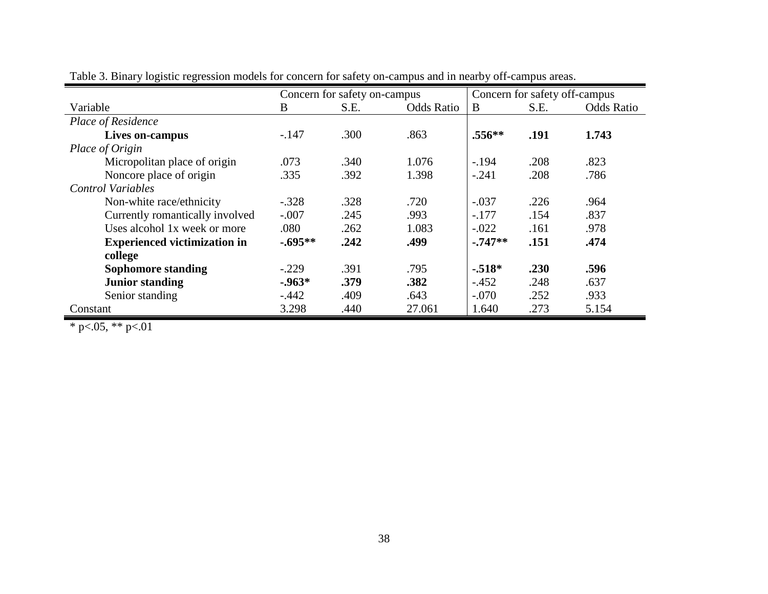|                                     | Concern for safety on-campus |      |                   | Concern for safety off-campus |      |                   |
|-------------------------------------|------------------------------|------|-------------------|-------------------------------|------|-------------------|
| Variable                            | B                            | S.E. | <b>Odds Ratio</b> | B                             | S.E. | <b>Odds Ratio</b> |
| Place of Residence                  |                              |      |                   |                               |      |                   |
| Lives on-campus                     | $-.147$                      | .300 | .863              | $.556**$                      | .191 | 1.743             |
| Place of Origin                     |                              |      |                   |                               |      |                   |
| Micropolitan place of origin        | .073                         | .340 | 1.076             | $-.194$                       | .208 | .823              |
| Noncore place of origin             | .335                         | .392 | 1.398             | $-.241$                       | .208 | .786              |
| <b>Control Variables</b>            |                              |      |                   |                               |      |                   |
| Non-white race/ethnicity            | $-.328$                      | .328 | .720              | $-.037$                       | .226 | .964              |
| Currently romantically involved     | $-.007$                      | .245 | .993              | $-.177$                       | .154 | .837              |
| Uses alcohol 1x week or more        | .080                         | .262 | 1.083             | $-.022$                       | .161 | .978              |
| <b>Experienced victimization in</b> | $-.695**$                    | .242 | .499              | $-.747**$                     | .151 | .474              |
| college                             |                              |      |                   |                               |      |                   |
| <b>Sophomore standing</b>           | $-.229$                      | .391 | .795              | $-.518*$                      | .230 | .596              |
| <b>Junior standing</b>              | $-0.963*$                    | .379 | .382              | $-.452$                       | .248 | .637              |
| Senior standing                     | $-.442$                      | .409 | .643              | $-.070$                       | .252 | .933              |
| Constant                            | 3.298                        | .440 | 27.061            | 1.640                         | .273 | 5.154             |

Table 3. Binary logistic regression models for concern for safety on-campus and in nearby off-campus areas.

\* p<.05, \*\* p<.01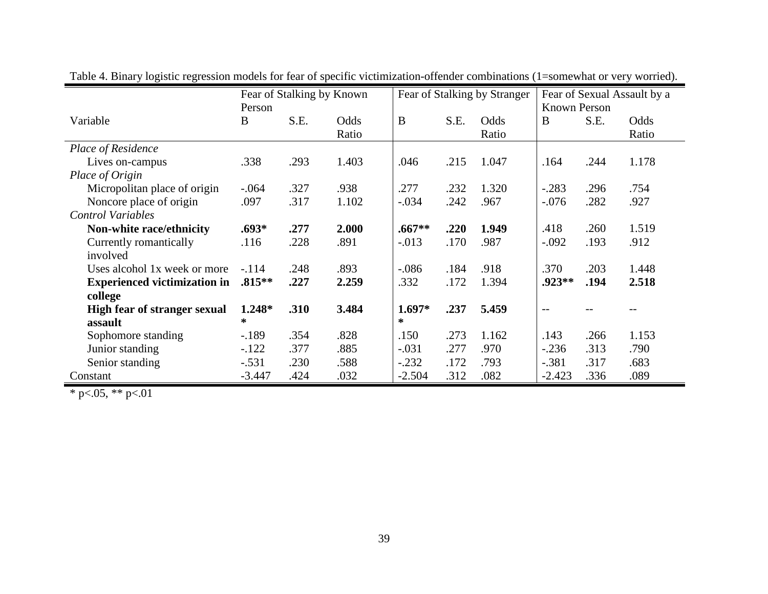|                                     | Fear of Stalking by Known |      | Fear of Stalking by Stranger |          |      | Fear of Sexual Assault by a |              |      |       |
|-------------------------------------|---------------------------|------|------------------------------|----------|------|-----------------------------|--------------|------|-------|
|                                     | Person                    |      |                              |          |      |                             | Known Person |      |       |
| Variable                            | B                         | S.E. | Odds                         | B        | S.E. | Odds                        | B            | S.E. | Odds  |
|                                     |                           |      | Ratio                        |          |      | Ratio                       |              |      | Ratio |
| <b>Place of Residence</b>           |                           |      |                              |          |      |                             |              |      |       |
| Lives on-campus                     | .338                      | .293 | 1.403                        | .046     | .215 | 1.047                       | .164         | .244 | 1.178 |
| Place of Origin                     |                           |      |                              |          |      |                             |              |      |       |
| Micropolitan place of origin        | $-.064$                   | .327 | .938                         | .277     | .232 | 1.320                       | $-.283$      | .296 | .754  |
| Noncore place of origin             | .097                      | .317 | 1.102                        | $-.034$  | .242 | .967                        | $-.076$      | .282 | .927  |
| <b>Control Variables</b>            |                           |      |                              |          |      |                             |              |      |       |
| Non-white race/ethnicity            | $.693*$                   | .277 | 2.000                        | $.667**$ | .220 | 1.949                       | .418         | .260 | 1.519 |
| Currently romantically              | .116                      | .228 | .891                         | $-.013$  | .170 | .987                        | $-.092$      | .193 | .912  |
| involved                            |                           |      |                              |          |      |                             |              |      |       |
| Uses alcohol 1x week or more        | $-.114$                   | .248 | .893                         | $-.086$  | .184 | .918                        | .370         | .203 | 1.448 |
| <b>Experienced victimization in</b> | $.815***$                 | .227 | 2.259                        | .332     | .172 | 1.394                       | .923**       | .194 | 2.518 |
| college                             |                           |      |                              |          |      |                             |              |      |       |
| <b>High fear of stranger sexual</b> | $1.248*$                  | .310 | 3.484                        | $1.697*$ | .237 | 5.459                       | $-$          |      |       |
| assault                             | $\ast$                    |      |                              | $\ast$   |      |                             |              |      |       |
| Sophomore standing                  | $-189$                    | .354 | .828                         | .150     | .273 | 1.162                       | .143         | .266 | 1.153 |
| Junior standing                     | $-.122$                   | .377 | .885                         | $-.031$  | .277 | .970                        | $-.236$      | .313 | .790  |
| Senior standing                     | $-.531$                   | .230 | .588                         | $-.232$  | .172 | .793                        | $-.381$      | .317 | .683  |
| Constant                            | $-3.447$                  | .424 | .032                         | $-2.504$ | .312 | .082                        | $-2.423$     | .336 | .089  |

Table 4. Binary logistic regression models for fear of specific victimization-offender combinations (1=somewhat or very worried).

 $*$  p $< 0.05$ ,  $*$  p $< 0.01$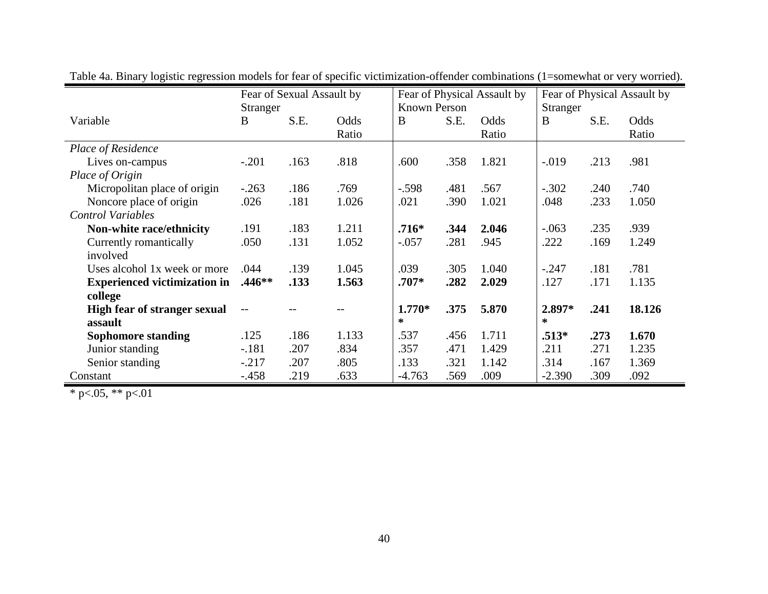|                                     | Fear of Sexual Assault by |      |       | Fear of Physical Assault by |      |       | Fear of Physical Assault by |      |        |
|-------------------------------------|---------------------------|------|-------|-----------------------------|------|-------|-----------------------------|------|--------|
|                                     | Stranger                  |      |       | Known Person                |      |       | Stranger                    |      |        |
| Variable                            | B                         | S.E. | Odds  | B                           | S.E. | Odds  | B                           | S.E. | Odds   |
|                                     |                           |      | Ratio |                             |      | Ratio |                             |      | Ratio  |
| Place of Residence                  |                           |      |       |                             |      |       |                             |      |        |
| Lives on-campus                     | $-.201$                   | .163 | .818  | .600                        | .358 | 1.821 | $-.019$                     | .213 | .981   |
| Place of Origin                     |                           |      |       |                             |      |       |                             |      |        |
| Micropolitan place of origin        | $-.263$                   | .186 | .769  | $-.598$                     | .481 | .567  | $-.302$                     | .240 | .740   |
| Noncore place of origin             | .026                      | .181 | 1.026 | .021                        | .390 | 1.021 | .048                        | .233 | 1.050  |
| <b>Control Variables</b>            |                           |      |       |                             |      |       |                             |      |        |
| Non-white race/ethnicity            | .191                      | .183 | 1.211 | $.716*$                     | .344 | 2.046 | $-.063$                     | .235 | .939   |
| Currently romantically              | .050                      | .131 | 1.052 | $-.057$                     | .281 | .945  | .222                        | .169 | 1.249  |
| involved                            |                           |      |       |                             |      |       |                             |      |        |
| Uses alcohol 1x week or more        | .044                      | .139 | 1.045 | .039                        | .305 | 1.040 | $-.247$                     | .181 | .781   |
| <b>Experienced victimization in</b> | $.446**$                  | .133 | 1.563 | $.707*$                     | .282 | 2.029 | .127                        | .171 | 1.135  |
| college                             |                           |      |       |                             |      |       |                             |      |        |
| <b>High fear of stranger sexual</b> | $-$                       |      |       | $1.770*$                    | .375 | 5.870 | 2.897*                      | .241 | 18.126 |
| assault                             |                           |      |       | $\ast$                      |      |       | ∗                           |      |        |
| <b>Sophomore standing</b>           | .125                      | .186 | 1.133 | .537                        | .456 | 1.711 | $.513*$                     | .273 | 1.670  |
| Junior standing                     | $-.181$                   | .207 | .834  | .357                        | .471 | 1.429 | .211                        | .271 | 1.235  |
| Senior standing                     | $-0.217$                  | .207 | .805  | .133                        | .321 | 1.142 | .314                        | .167 | 1.369  |
| Constant                            | $-.458$                   | .219 | .633  | $-4.763$                    | .569 | .009  | $-2.390$                    | .309 | .092   |

Table 4a. Binary logistic regression models for fear of specific victimization-offender combinations (1=somewhat or very worried).

\* p<.05, \*\* p<.01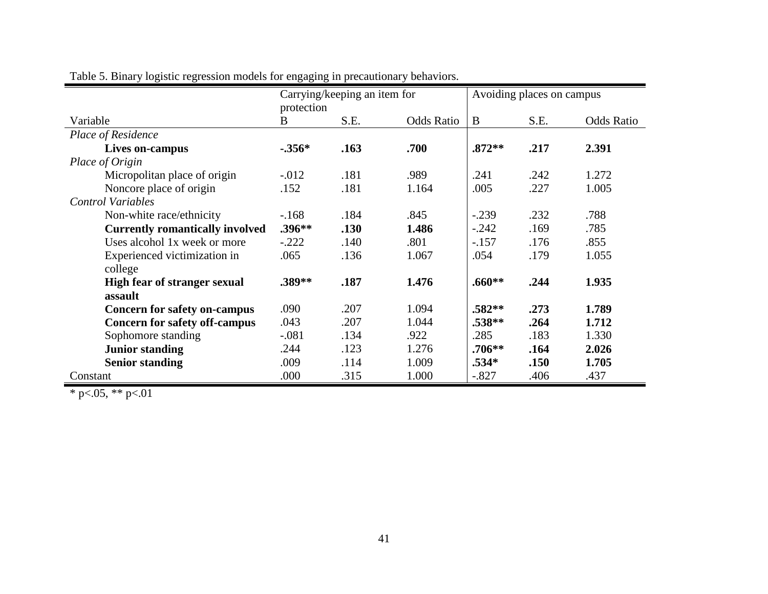|                                        | Carrying/keeping an item for |      |                   | Avoiding places on campus |      |                   |
|----------------------------------------|------------------------------|------|-------------------|---------------------------|------|-------------------|
|                                        | protection                   |      |                   |                           |      |                   |
| Variable                               | B                            | S.E. | <b>Odds Ratio</b> | B                         | S.E. | <b>Odds Ratio</b> |
| Place of Residence                     |                              |      |                   |                           |      |                   |
| Lives on-campus                        | $-.356*$                     | .163 | .700              | $.872**$                  | .217 | 2.391             |
| Place of Origin                        |                              |      |                   |                           |      |                   |
| Micropolitan place of origin           | $-.012$                      | .181 | .989              | .241                      | .242 | 1.272             |
| Noncore place of origin                | .152                         | .181 | 1.164             | .005                      | .227 | 1.005             |
| <b>Control Variables</b>               |                              |      |                   |                           |      |                   |
| Non-white race/ethnicity               | $-168$                       | .184 | .845              | $-.239$                   | .232 | .788              |
| <b>Currently romantically involved</b> | $.396**$                     | .130 | 1.486             | $-.242$                   | .169 | .785              |
| Uses alcohol 1x week or more           | $-.222$                      | .140 | .801              | $-.157$                   | .176 | .855              |
| Experienced victimization in           | .065                         | .136 | 1.067             | .054                      | .179 | 1.055             |
| college                                |                              |      |                   |                           |      |                   |
| <b>High fear of stranger sexual</b>    | $.389**$                     | .187 | 1.476             | $.660**$                  | .244 | 1.935             |
| assault                                |                              |      |                   |                           |      |                   |
| <b>Concern for safety on-campus</b>    | .090                         | .207 | 1.094             | $.582**$                  | .273 | 1.789             |
| <b>Concern for safety off-campus</b>   | .043                         | .207 | 1.044             | .538**                    | .264 | 1.712             |
| Sophomore standing                     | $-.081$                      | .134 | .922              | .285                      | .183 | 1.330             |
| <b>Junior standing</b>                 | .244                         | .123 | 1.276             | $.706**$                  | .164 | 2.026             |
| <b>Senior standing</b>                 | .009                         | .114 | 1.009             | .534*                     | .150 | 1.705             |
| Constant                               | .000                         | .315 | 1.000             | $-.827$                   | .406 | .437              |

Table 5. Binary logistic regression models for engaging in precautionary behaviors.

 $*$  p $< .05, **$  p $< .01$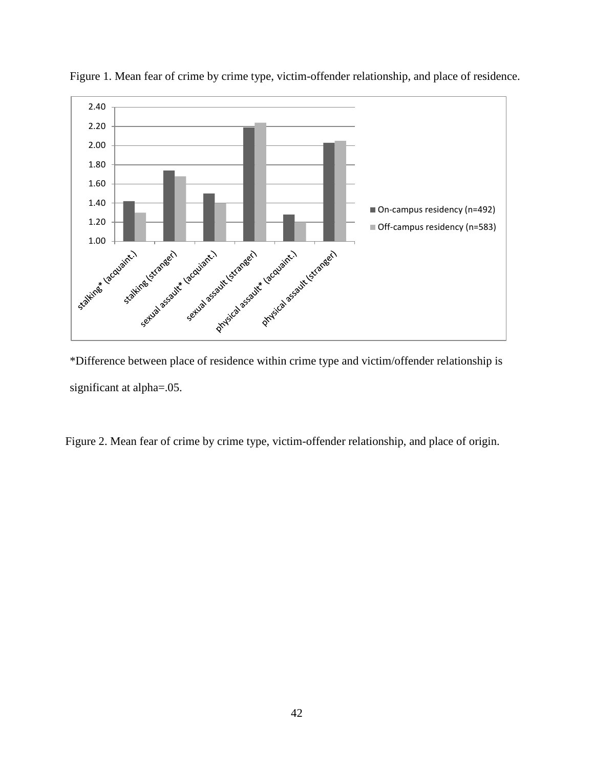

Figure 1. Mean fear of crime by crime type, victim-offender relationship, and place of residence.

\*Difference between place of residence within crime type and victim/offender relationship is significant at alpha=.05.

Figure 2. Mean fear of crime by crime type, victim-offender relationship, and place of origin.